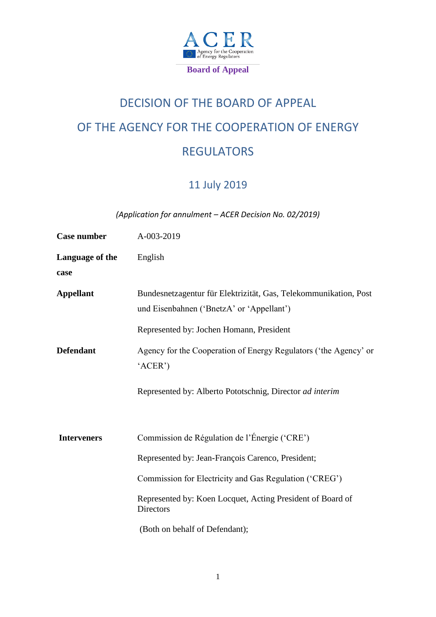

# DECISION OF THE BOARD OF APPEAL OF THE AGENCY FOR THE COOPERATION OF ENERGY REGULATORS

# 11 July 2019

*(Application for annulment – ACER Decision No. 02/2019)*

| <b>Case number</b> | A-003-2019                                                                                                    |
|--------------------|---------------------------------------------------------------------------------------------------------------|
| Language of the    | English                                                                                                       |
| case               |                                                                                                               |
| <b>Appellant</b>   | Bundesnetzagentur für Elektrizität, Gas, Telekommunikation, Post<br>und Eisenbahnen ('BnetzA' or 'Appellant') |
|                    | Represented by: Jochen Homann, President                                                                      |
| <b>Defendant</b>   | Agency for the Cooperation of Energy Regulators ('the Agency' or<br>'ACER')                                   |
|                    | Represented by: Alberto Pototschnig, Director ad interim                                                      |
| <b>Interveners</b> | Commission de Régulation de l'Énergie ('CRE')                                                                 |
|                    | Represented by: Jean-François Carenco, President;                                                             |
|                    | Commission for Electricity and Gas Regulation ('CREG')                                                        |
|                    | Represented by: Koen Locquet, Acting President of Board of<br><b>Directors</b>                                |
|                    | (Both on behalf of Defendant);                                                                                |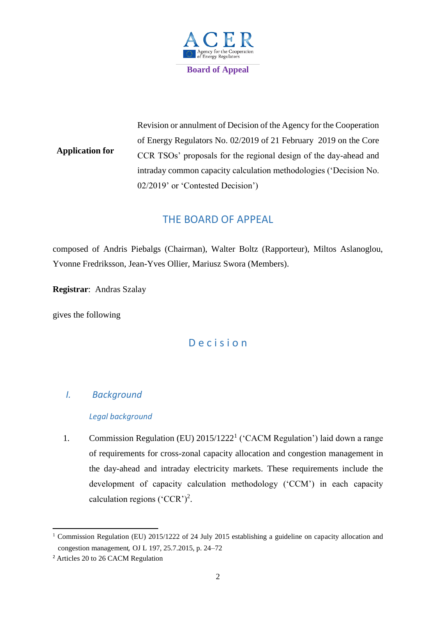

**Application for** Revision or annulment of Decision of the Agency for the Cooperation of Energy Regulators No. 02/2019 of 21 February 2019 on the Core CCR TSOs' proposals for the regional design of the day-ahead and intraday common capacity calculation methodologies ('Decision No. 02/2019' or 'Contested Decision')

# THE BOARD OF APPEAL

composed of Andris Piebalgs (Chairman), Walter Boltz (Rapporteur), Miltos Aslanoglou, Yvonne Fredriksson, Jean-Yves Ollier, Mariusz Swora (Members).

**Registrar**: Andras Szalay

gives the following

# D e c i s i o n

# *I. Background*

# *Legal background*

1. Commission Regulation (EU) 2015/1222<sup>1</sup> ('CACM Regulation') laid down a range of requirements for cross-zonal capacity allocation and congestion management in the day-ahead and intraday electricity markets. These requirements include the development of capacity calculation methodology ('CCM') in each capacity calculation regions ('CCR')<sup>2</sup>.

<sup>1</sup> <sup>1</sup> Commission Regulation (EU) 2015/1222 of 24 July 2015 establishing a guideline on capacity allocation and congestion management*,* OJ L 197, 25.7.2015, p. 24–72

<sup>2</sup> Articles 20 to 26 CACM Regulation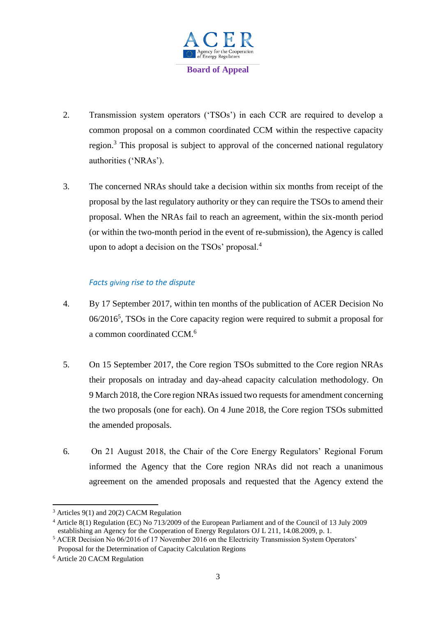

- 2. Transmission system operators ('TSOs') in each CCR are required to develop a common proposal on a common coordinated CCM within the respective capacity region.<sup>3</sup> This proposal is subject to approval of the concerned national regulatory authorities ('NRAs').
- 3. The concerned NRAs should take a decision within six months from receipt of the proposal by the last regulatory authority or they can require the TSOs to amend their proposal. When the NRAs fail to reach an agreement, within the six-month period (or within the two-month period in the event of re-submission), the Agency is called upon to adopt a decision on the  $TSOs'$  proposal. $4$

# *Facts giving rise to the dispute*

- 4. By 17 September 2017, within ten months of the publication of ACER Decision No 06/2016<sup>5</sup>, TSOs in the Core capacity region were required to submit a proposal for a common coordinated CCM.<sup>6</sup>
- 5. On 15 September 2017, the Core region TSOs submitted to the Core region NRAs their proposals on intraday and day-ahead capacity calculation methodology. On 9 March 2018, the Core region NRAs issued two requests for amendment concerning the two proposals (one for each). On 4 June 2018, the Core region TSOs submitted the amended proposals.
- 6. On 21 August 2018, the Chair of the Core Energy Regulators' Regional Forum informed the Agency that the Core region NRAs did not reach a unanimous agreement on the amended proposals and requested that the Agency extend the

<sup>&</sup>lt;sup>3</sup> Articles 9(1) and 20(2) CACM Regulation

<sup>4</sup> Article 8(1) Regulation (EC) No 713/2009 of the European Parliament and of the Council of 13 July 2009 establishing an Agency for the Cooperation of Energy Regulators OJ L 211, 14.08.2009, p. 1.

<sup>&</sup>lt;sup>5</sup> ACER Decision No 06/2016 of 17 November 2016 on the Electricity Transmission System Operators' Proposal for the Determination of Capacity Calculation Regions

<sup>6</sup> Article 20 CACM Regulation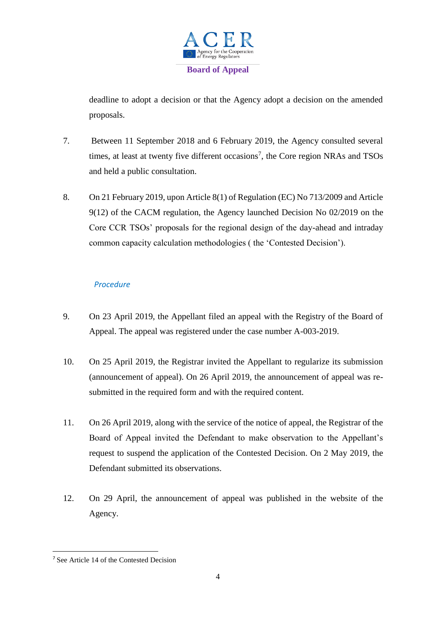

deadline to adopt a decision or that the Agency adopt a decision on the amended proposals.

- 7. Between 11 September 2018 and 6 February 2019, the Agency consulted several times, at least at twenty five different occasions<sup>7</sup>, the Core region NRAs and TSOs and held a public consultation.
- 8. On 21 February 2019, upon Article 8(1) of Regulation (EC) No 713/2009 and Article 9(12) of the CACM regulation, the Agency launched Decision No 02/2019 on the Core CCR TSOs' proposals for the regional design of the day-ahead and intraday common capacity calculation methodologies ( the 'Contested Decision').

# *Procedure*

- 9. On 23 April 2019, the Appellant filed an appeal with the Registry of the Board of Appeal. The appeal was registered under the case number A-003-2019.
- 10. On 25 April 2019, the Registrar invited the Appellant to regularize its submission (announcement of appeal). On 26 April 2019, the announcement of appeal was resubmitted in the required form and with the required content.
- 11. On 26 April 2019, along with the service of the notice of appeal, the Registrar of the Board of Appeal invited the Defendant to make observation to the Appellant's request to suspend the application of the Contested Decision. On 2 May 2019, the Defendant submitted its observations.
- 12. On 29 April, the announcement of appeal was published in the website of the Agency.

<sup>7</sup> See Article 14 of the Contested Decision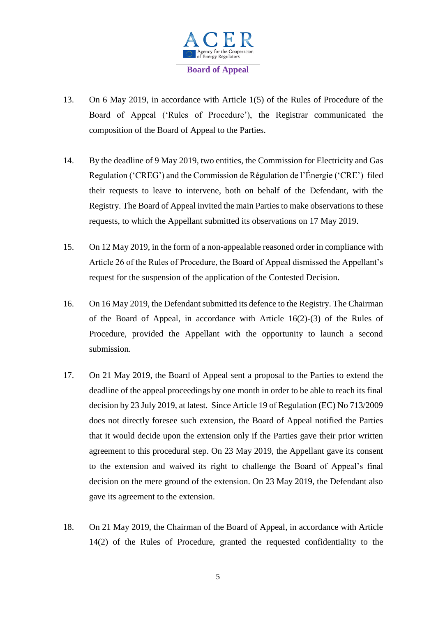

- 13. On 6 May 2019, in accordance with Article 1(5) of the Rules of Procedure of the Board of Appeal ('Rules of Procedure'), the Registrar communicated the composition of the Board of Appeal to the Parties.
- 14. By the deadline of 9 May 2019, two entities, the Commission for Electricity and Gas Regulation ('CREG') and the Commission de Régulation de l'Énergie ('CRE') filed their requests to leave to intervene, both on behalf of the Defendant, with the Registry. The Board of Appeal invited the main Parties to make observations to these requests, to which the Appellant submitted its observations on 17 May 2019.
- 15. On 12 May 2019, in the form of a non-appealable reasoned order in compliance with Article 26 of the Rules of Procedure, the Board of Appeal dismissed the Appellant's request for the suspension of the application of the Contested Decision.
- 16. On 16 May 2019, the Defendant submitted its defence to the Registry. The Chairman of the Board of Appeal, in accordance with Article 16(2)-(3) of the Rules of Procedure, provided the Appellant with the opportunity to launch a second submission.
- 17. On 21 May 2019, the Board of Appeal sent a proposal to the Parties to extend the deadline of the appeal proceedings by one month in order to be able to reach its final decision by 23 July 2019, at latest. Since Article 19 of Regulation (EC) No 713/2009 does not directly foresee such extension, the Board of Appeal notified the Parties that it would decide upon the extension only if the Parties gave their prior written agreement to this procedural step. On 23 May 2019, the Appellant gave its consent to the extension and waived its right to challenge the Board of Appeal's final decision on the mere ground of the extension. On 23 May 2019, the Defendant also gave its agreement to the extension.
- 18. On 21 May 2019, the Chairman of the Board of Appeal, in accordance with Article 14(2) of the Rules of Procedure, granted the requested confidentiality to the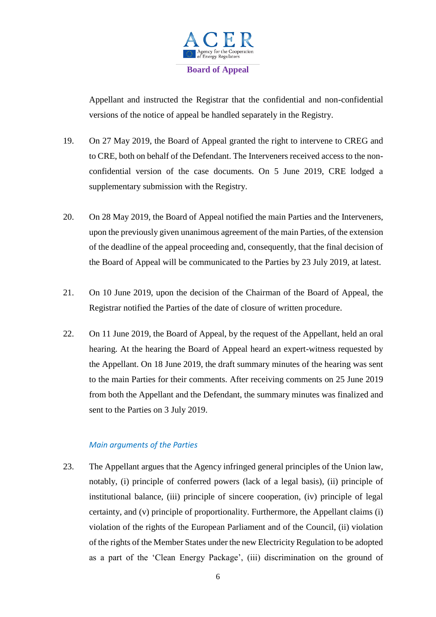

Appellant and instructed the Registrar that the confidential and non-confidential versions of the notice of appeal be handled separately in the Registry.

- 19. On 27 May 2019, the Board of Appeal granted the right to intervene to CREG and to CRE, both on behalf of the Defendant. The Interveners received access to the nonconfidential version of the case documents. On 5 June 2019, CRE lodged a supplementary submission with the Registry.
- 20. On 28 May 2019, the Board of Appeal notified the main Parties and the Interveners, upon the previously given unanimous agreement of the main Parties, of the extension of the deadline of the appeal proceeding and, consequently, that the final decision of the Board of Appeal will be communicated to the Parties by 23 July 2019, at latest.
- 21. On 10 June 2019, upon the decision of the Chairman of the Board of Appeal, the Registrar notified the Parties of the date of closure of written procedure.
- 22. On 11 June 2019, the Board of Appeal, by the request of the Appellant, held an oral hearing. At the hearing the Board of Appeal heard an expert-witness requested by the Appellant. On 18 June 2019, the draft summary minutes of the hearing was sent to the main Parties for their comments. After receiving comments on 25 June 2019 from both the Appellant and the Defendant, the summary minutes was finalized and sent to the Parties on 3 July 2019.

# *Main arguments of the Parties*

23. The Appellant argues that the Agency infringed general principles of the Union law, notably, (i) principle of conferred powers (lack of a legal basis), (ii) principle of institutional balance, (iii) principle of sincere cooperation, (iv) principle of legal certainty, and (v) principle of proportionality. Furthermore, the Appellant claims (i) violation of the rights of the European Parliament and of the Council, (ii) violation of the rights of the Member States under the new Electricity Regulation to be adopted as a part of the 'Clean Energy Package', (iii) discrimination on the ground of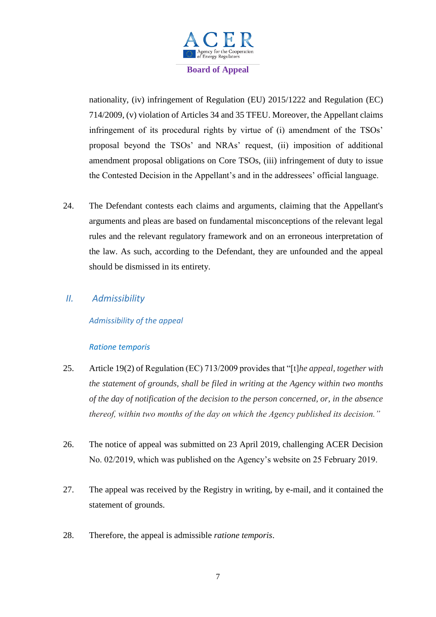

nationality, (iv) infringement of Regulation (EU) 2015/1222 and Regulation (EC) 714/2009, (v) violation of Articles 34 and 35 TFEU. Moreover, the Appellant claims infringement of its procedural rights by virtue of (i) amendment of the TSOs' proposal beyond the TSOs' and NRAs' request, (ii) imposition of additional amendment proposal obligations on Core TSOs, (iii) infringement of duty to issue the Contested Decision in the Appellant's and in the addressees' official language.

24. The Defendant contests each claims and arguments, claiming that the Appellant's arguments and pleas are based on fundamental misconceptions of the relevant legal rules and the relevant regulatory framework and on an erroneous interpretation of the law. As such, according to the Defendant, they are unfounded and the appeal should be dismissed in its entirety.

# *II. Admissibility*

# *Admissibility of the appeal*

## *Ratione temporis*

- 25. Article 19(2) of Regulation (EC) 713/2009 provides that "[t]*he appeal, together with the statement of grounds, shall be filed in writing at the Agency within two months of the day of notification of the decision to the person concerned, or, in the absence thereof, within two months of the day on which the Agency published its decision."*
- 26. The notice of appeal was submitted on 23 April 2019, challenging ACER Decision No. 02/2019, which was published on the Agency's website on 25 February 2019.
- 27. The appeal was received by the Registry in writing, by e-mail, and it contained the statement of grounds.
- 28. Therefore, the appeal is admissible *ratione temporis*.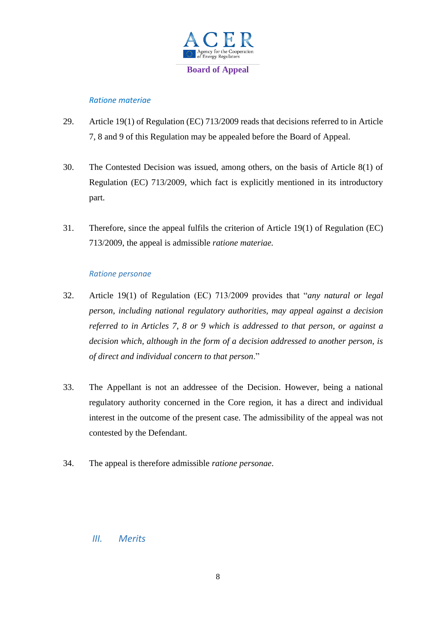

# *Ratione materiae*

- 29. Article 19(1) of Regulation (EC) 713/2009 reads that decisions referred to in Article 7, 8 and 9 of this Regulation may be appealed before the Board of Appeal.
- 30. The Contested Decision was issued, among others, on the basis of Article 8(1) of Regulation (EC) 713/2009, which fact is explicitly mentioned in its introductory part.
- 31. Therefore, since the appeal fulfils the criterion of Article 19(1) of Regulation (EC) 713/2009, the appeal is admissible *ratione materiae.*

## *Ratione personae*

- 32. Article 19(1) of Regulation (EC) 713/2009 provides that "*any natural or legal person, including national regulatory authorities, may appeal against a decision referred to in Articles 7, 8 or 9 which is addressed to that person, or against a decision which, although in the form of a decision addressed to another person, is of direct and individual concern to that person*."
- 33. The Appellant is not an addressee of the Decision. However, being a national regulatory authority concerned in the Core region, it has a direct and individual interest in the outcome of the present case. The admissibility of the appeal was not contested by the Defendant.
- 34. The appeal is therefore admissible *ratione personae*.

# *III. Merits*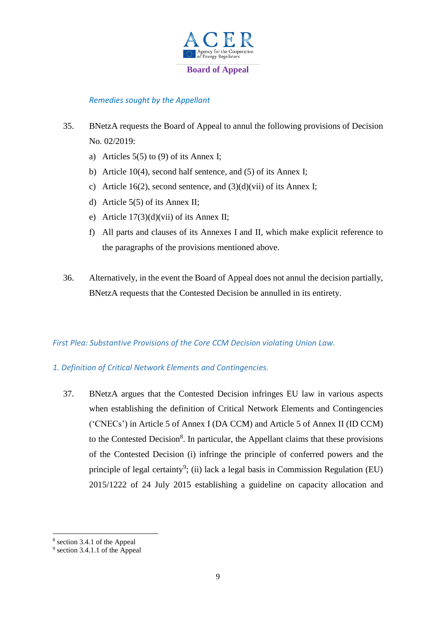

# *Remedies sought by the Appellant*

- 35. BNetzA requests the Board of Appeal to annul the following provisions of Decision No. 02/2019:
	- a) Articles  $5(5)$  to (9) of its Annex I;
	- b) Article 10(4), second half sentence, and (5) of its Annex I;
	- c) Article 16(2), second sentence, and  $(3)(d)(vii)$  of its Annex I;
	- d) Article 5(5) of its Annex II;
	- e) Article 17(3)(d)(vii) of its Annex II;
	- f) All parts and clauses of its Annexes I and II, which make explicit reference to the paragraphs of the provisions mentioned above.
- 36. Alternatively, in the event the Board of Appeal does not annul the decision partially, BNetzA requests that the Contested Decision be annulled in its entirety.

## *First Plea: Substantive Provisions of the Core CCM Decision violating Union Law.*

## *1. Definition of Critical Network Elements and Contingencies.*

37. BNetzA argues that the Contested Decision infringes EU law in various aspects when establishing the definition of Critical Network Elements and Contingencies ('CNECs') in Article 5 of Annex I (DA CCM) and Article 5 of Annex II (ID CCM) to the Contested Decision<sup>8</sup>. In particular, the Appellant claims that these provisions of the Contested Decision (i) infringe the principle of conferred powers and the principle of legal certainty<sup>9</sup>; (ii) lack a legal basis in Commission Regulation (EU) 2015/1222 of 24 July 2015 establishing a guideline on capacity allocation and

<sup>8</sup> section 3.4.1 of the Appeal

<sup>&</sup>lt;sup>9</sup> section 3.4.1.1 of the Appeal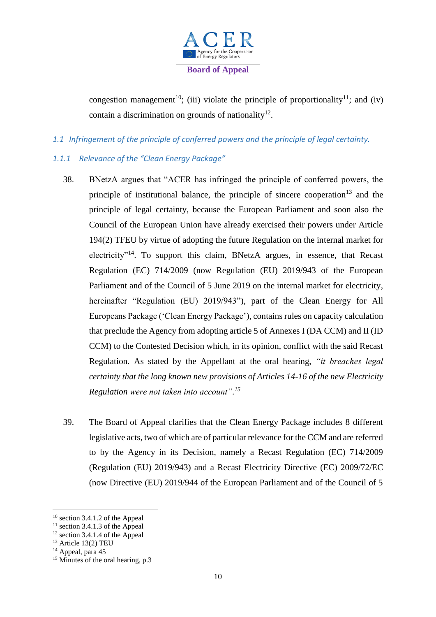

congestion management<sup>10</sup>; (iii) violate the principle of proportionality<sup>11</sup>; and (iv) contain a discrimination on grounds of nationality $^{12}$ .

*1.1 Infringement of the principle of conferred powers and the principle of legal certainty.*

# *1.1.1 Relevance of the "Clean Energy Package"*

- 38. BNetzA argues that "ACER has infringed the principle of conferred powers, the principle of institutional balance, the principle of sincere cooperation<sup>13</sup> and the principle of legal certainty, because the European Parliament and soon also the Council of the European Union have already exercised their powers under Article 194(2) TFEU by virtue of adopting the future Regulation on the internal market for electricity"<sup>14</sup>. To support this claim, BNetzA argues, in essence, that Recast Regulation (EC) 714/2009 (now Regulation (EU) 2019/943 of the European Parliament and of the Council of 5 June 2019 on the internal market for electricity, hereinafter "Regulation (EU) 2019/943"), part of the Clean Energy for All Europeans Package ('Clean Energy Package'), contains rules on capacity calculation that preclude the Agency from adopting article 5 of Annexes I (DA CCM) and II (ID CCM) to the Contested Decision which, in its opinion, conflict with the said Recast Regulation. As stated by the Appellant at the oral hearing, *"it breaches legal certainty that the long known new provisions of Articles 14-16 of the new Electricity Regulation were not taken into account". 15*
- 39. The Board of Appeal clarifies that the Clean Energy Package includes 8 different legislative acts, two of which are of particular relevance for the CCM and are referred to by the Agency in its Decision, namely a Recast Regulation (EC) 714/2009 (Regulation (EU) 2019/943) and a Recast Electricity Directive (EC) 2009/72/EC (now Directive (EU) 2019/944 of the European Parliament and of the Council of 5

 $10$  section 3.4.1.2 of the Appeal

 $11$  section 3.4.1.3 of the Appeal

 $12$  section 3.4.1.4 of the Appeal

<sup>13</sup> Article 13(2) TEU

<sup>&</sup>lt;sup>14</sup> Appeal, para 45

<sup>&</sup>lt;sup>15</sup> Minutes of the oral hearing, p.3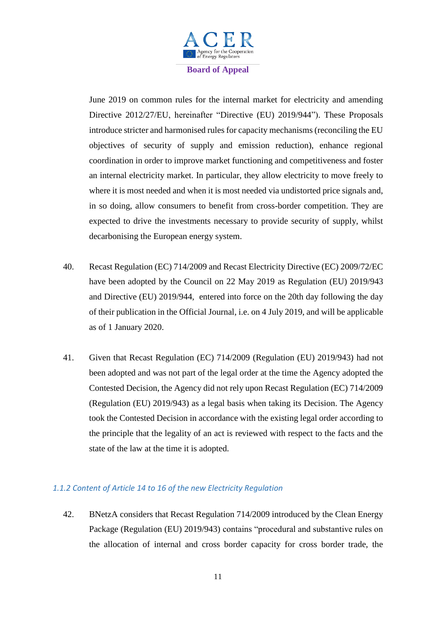

June 2019 on common rules for the internal market for electricity and amending Directive 2012/27/EU, hereinafter "Directive (EU) 2019/944"). These Proposals introduce stricter and harmonised rules for capacity mechanisms (reconciling the EU objectives of security of supply and emission reduction), enhance regional coordination in order to improve market functioning and competitiveness and foster an internal electricity market. In particular, they allow electricity to move freely to where it is most needed and when it is most needed via undistorted price signals and, in so doing, allow consumers to benefit from cross-border competition. They are expected to drive the investments necessary to provide security of supply, whilst decarbonising the European energy system.

- 40. Recast Regulation (EC) 714/2009 and Recast Electricity Directive (EC) 2009/72/EC have been adopted by the Council on 22 May 2019 as Regulation (EU) 2019/943 and Directive (EU) 2019/944, entered into force on the 20th day following the day of their publication in the Official Journal, i.e. on 4 July 2019, and will be applicable as of 1 January 2020.
- 41. Given that Recast Regulation (EC) 714/2009 (Regulation (EU) 2019/943) had not been adopted and was not part of the legal order at the time the Agency adopted the Contested Decision, the Agency did not rely upon Recast Regulation (EC) 714/2009 (Regulation (EU) 2019/943) as a legal basis when taking its Decision. The Agency took the Contested Decision in accordance with the existing legal order according to the principle that the legality of an act is reviewed with respect to the facts and the state of the law at the time it is adopted.

# *1.1.2 Content of Article 14 to 16 of the new Electricity Regulation*

42. BNetzA considers that Recast Regulation 714/2009 introduced by the Clean Energy Package (Regulation (EU) 2019/943) contains "procedural and substantive rules on the allocation of internal and cross border capacity for cross border trade, the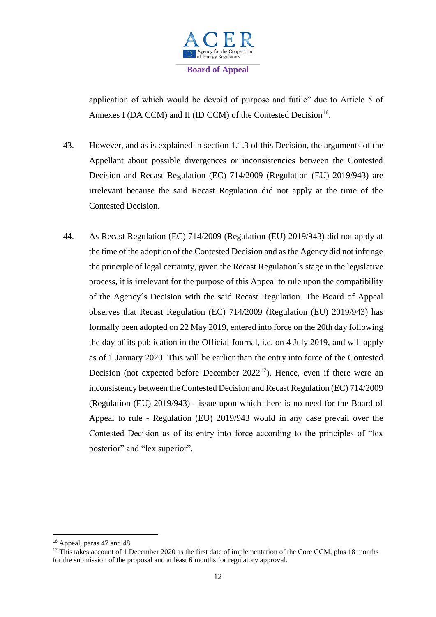

application of which would be devoid of purpose and futile" due to Article 5 of Annexes I (DA CCM) and II (ID CCM) of the Contested Decision<sup>16</sup>.

- 43. However, and as is explained in section 1.1.3 of this Decision, the arguments of the Appellant about possible divergences or inconsistencies between the Contested Decision and Recast Regulation (EC) 714/2009 (Regulation (EU) 2019/943) are irrelevant because the said Recast Regulation did not apply at the time of the Contested Decision.
- 44. As Recast Regulation (EC) 714/2009 (Regulation (EU) 2019/943) did not apply at the time of the adoption of the Contested Decision and as the Agency did not infringe the principle of legal certainty, given the Recast Regulation´s stage in the legislative process, it is irrelevant for the purpose of this Appeal to rule upon the compatibility of the Agency´s Decision with the said Recast Regulation. The Board of Appeal observes that Recast Regulation (EC) 714/2009 (Regulation (EU) 2019/943) has formally been adopted on 22 May 2019, entered into force on the 20th day following the day of its publication in the Official Journal, i.e. on 4 July 2019, and will apply as of 1 January 2020. This will be earlier than the entry into force of the Contested Decision (not expected before December  $2022^{17}$ ). Hence, even if there were an inconsistency between the Contested Decision and Recast Regulation (EC) 714/2009 (Regulation (EU) 2019/943) - issue upon which there is no need for the Board of Appeal to rule - Regulation (EU) 2019/943 would in any case prevail over the Contested Decision as of its entry into force according to the principles of "lex posterior" and "lex superior".

<sup>&</sup>lt;sup>16</sup> Appeal, paras 47 and 48

<sup>&</sup>lt;sup>17</sup> This takes account of 1 December 2020 as the first date of implementation of the Core CCM, plus 18 months for the submission of the proposal and at least 6 months for regulatory approval.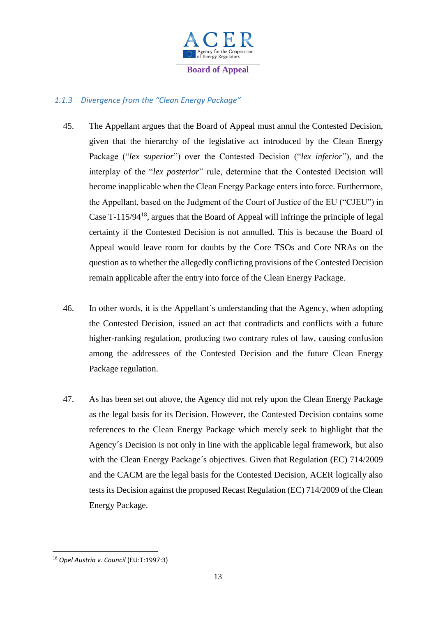

# *1.1.3 Divergence from the "Clean Energy Package"*

- 45. The Appellant argues that the Board of Appeal must annul the Contested Decision, given that the hierarchy of the legislative act introduced by the Clean Energy Package ("*lex superior*") over the Contested Decision ("*lex inferior*"), and the interplay of the "*lex posterior*" rule, determine that the Contested Decision will become inapplicable when the Clean Energy Package enters into force. Furthermore, the Appellant, based on the Judgment of the Court of Justice of the EU ("CJEU") in Case T-115/94<sup>18</sup>, argues that the Board of Appeal will infringe the principle of legal certainty if the Contested Decision is not annulled. This is because the Board of Appeal would leave room for doubts by the Core TSOs and Core NRAs on the question as to whether the allegedly conflicting provisions of the Contested Decision remain applicable after the entry into force of the Clean Energy Package.
- 46. In other words, it is the Appellant´s understanding that the Agency, when adopting the Contested Decision, issued an act that contradicts and conflicts with a future higher-ranking regulation, producing two contrary rules of law, causing confusion among the addressees of the Contested Decision and the future Clean Energy Package regulation.
- 47. As has been set out above, the Agency did not rely upon the Clean Energy Package as the legal basis for its Decision. However, the Contested Decision contains some references to the Clean Energy Package which merely seek to highlight that the Agency´s Decision is not only in line with the applicable legal framework, but also with the Clean Energy Package's objectives. Given that Regulation (EC) 714/2009 and the CACM are the legal basis for the Contested Decision, ACER logically also tests its Decision against the proposed Recast Regulation (EC) 714/2009 of the Clean Energy Package.

<sup>18</sup> *Opel Austria v. Council* (EU:T:1997:3)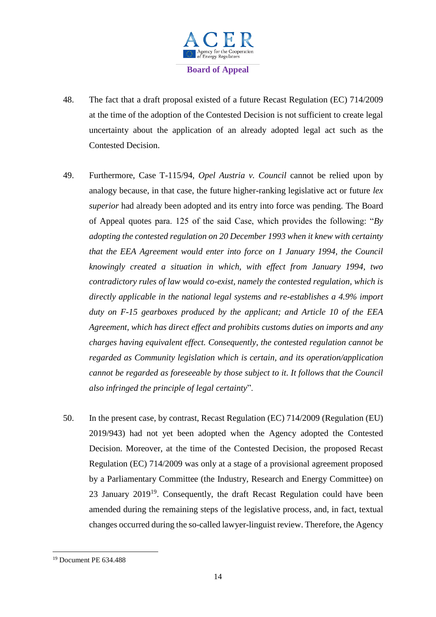

- 48. The fact that a draft proposal existed of a future Recast Regulation (EC) 714/2009 at the time of the adoption of the Contested Decision is not sufficient to create legal uncertainty about the application of an already adopted legal act such as the Contested Decision.
- 49. Furthermore, Case T-115/94, *Opel Austria v. Council* cannot be relied upon by analogy because, in that case, the future higher-ranking legislative act or future *lex superior* had already been adopted and its entry into force was pending. The Board of Appeal quotes para. 125 of the said Case, which provides the following: "*By adopting the contested regulation on 20 December 1993 when it knew with certainty that the EEA Agreement would enter into force on 1 January 1994, the Council knowingly created a situation in which, with effect from January 1994, two contradictory rules of law would co-exist, namely the contested regulation, which is directly applicable in the national legal systems and re-establishes a 4.9% import duty on F-15 gearboxes produced by the applicant; and Article 10 of the EEA Agreement, which has direct effect and prohibits customs duties on imports and any charges having equivalent effect. Consequently, the contested regulation cannot be regarded as Community legislation which is certain, and its operation/application cannot be regarded as foreseeable by those subject to it. It follows that the Council also infringed the principle of legal certainty*".
- 50. In the present case, by contrast, Recast Regulation (EC) 714/2009 (Regulation (EU) 2019/943) had not yet been adopted when the Agency adopted the Contested Decision. Moreover, at the time of the Contested Decision, the proposed Recast Regulation (EC) 714/2009 was only at a stage of a provisional agreement proposed by a Parliamentary Committee (the Industry, Research and Energy Committee) on 23 January  $2019^{19}$ . Consequently, the draft Recast Regulation could have been amended during the remaining steps of the legislative process, and, in fact, textual changes occurred during the so-called lawyer-linguist review. Therefore, the Agency

<sup>19</sup> Document PE 634.488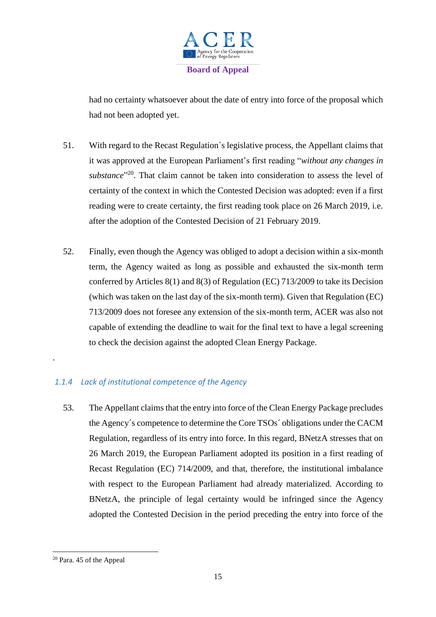

had no certainty whatsoever about the date of entry into force of the proposal which had not been adopted yet.

- 51. With regard to the Recast Regulation´s legislative process, the Appellant claims that it was approved at the European Parliament's first reading "*without any changes in*  substance<sup>"20</sup>. That claim cannot be taken into consideration to assess the level of certainty of the context in which the Contested Decision was adopted: even if a first reading were to create certainty, the first reading took place on 26 March 2019, i.e. after the adoption of the Contested Decision of 21 February 2019.
- 52. Finally, even though the Agency was obliged to adopt a decision within a six-month term, the Agency waited as long as possible and exhausted the six-month term conferred by Articles 8(1) and 8(3) of Regulation (EC) 713/2009 to take its Decision (which was taken on the last day of the six-month term). Given that Regulation (EC) 713/2009 does not foresee any extension of the six-month term, ACER was also not capable of extending the deadline to wait for the final text to have a legal screening to check the decision against the adopted Clean Energy Package.

# *1.1.4 Lack of institutional competence of the Agency*

53. The Appellant claims that the entry into force of the Clean Energy Package precludes the Agency´s competence to determine the Core TSOs´ obligations under the CACM Regulation, regardless of its entry into force. In this regard, BNetzA stresses that on 26 March 2019, the European Parliament adopted its position in a first reading of Recast Regulation (EC) 714/2009, and that, therefore, the institutional imbalance with respect to the European Parliament had already materialized. According to BNetzA, the principle of legal certainty would be infringed since the Agency adopted the Contested Decision in the period preceding the entry into force of the

**.** 

<sup>20</sup> Para. 45 of the Appeal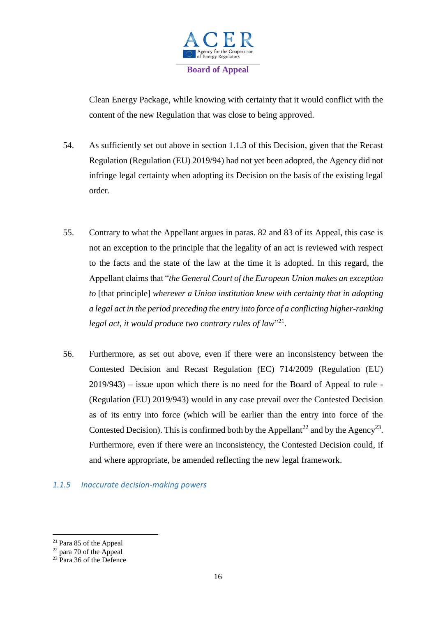

Clean Energy Package, while knowing with certainty that it would conflict with the content of the new Regulation that was close to being approved.

- 54. As sufficiently set out above in section 1.1.3 of this Decision, given that the Recast Regulation (Regulation (EU) 2019/94) had not yet been adopted, the Agency did not infringe legal certainty when adopting its Decision on the basis of the existing legal order.
- 55. Contrary to what the Appellant argues in paras. 82 and 83 of its Appeal, this case is not an exception to the principle that the legality of an act is reviewed with respect to the facts and the state of the law at the time it is adopted. In this regard, the Appellant claims that "*the General Court of the European Union makes an exception to* [that principle] *wherever a Union institution knew with certainty that in adopting a legal act in the period preceding the entry into force of a conflicting higher-ranking*  legal act, it would produce two contrary rules of law"<sup>21</sup>.
- 56. Furthermore, as set out above, even if there were an inconsistency between the Contested Decision and Recast Regulation (EC) 714/2009 (Regulation (EU) 2019/943) – issue upon which there is no need for the Board of Appeal to rule - (Regulation (EU) 2019/943) would in any case prevail over the Contested Decision as of its entry into force (which will be earlier than the entry into force of the Contested Decision). This is confirmed both by the Appellant<sup>22</sup> and by the Agency<sup>23</sup>. Furthermore, even if there were an inconsistency, the Contested Decision could, if and where appropriate, be amended reflecting the new legal framework.

## *1.1.5 Inaccurate decision-making powers*

<sup>21</sup> Para 85 of the Appeal

<sup>&</sup>lt;sup>22</sup> para 70 of the Appeal

<sup>&</sup>lt;sup>23</sup> Para 36 of the Defence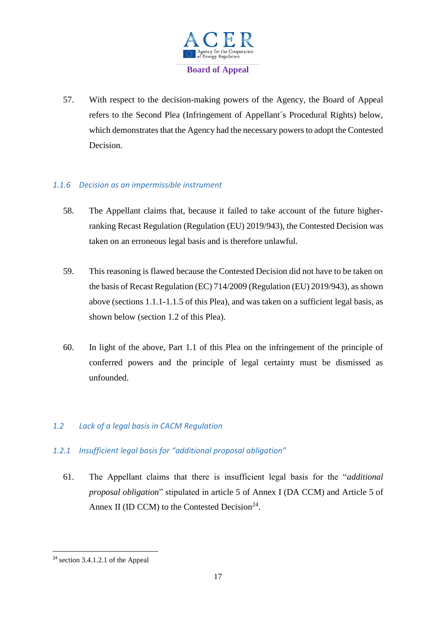

57. With respect to the decision-making powers of the Agency, the Board of Appeal refers to the Second Plea (Infringement of Appellant´s Procedural Rights) below, which demonstrates that the Agency had the necessary powers to adopt the Contested Decision.

# *1.1.6 Decision as an impermissible instrument*

- 58. The Appellant claims that, because it failed to take account of the future higherranking Recast Regulation (Regulation (EU) 2019/943), the Contested Decision was taken on an erroneous legal basis and is therefore unlawful.
- 59. This reasoning is flawed because the Contested Decision did not have to be taken on the basis of Recast Regulation (EC) 714/2009 (Regulation (EU) 2019/943), as shown above (sections 1.1.1-1.1.5 of this Plea), and was taken on a sufficient legal basis, as shown below (section 1.2 of this Plea).
- 60. In light of the above, Part 1.1 of this Plea on the infringement of the principle of conferred powers and the principle of legal certainty must be dismissed as unfounded.

# *1.2 Lack of a legal basis in CACM Regulation*

# *1.2.1 Insufficient legal basis for "additional proposal obligation"*

61. The Appellant claims that there is insufficient legal basis for the "*additional proposal obligation*" stipulated in article 5 of Annex I (DA CCM) and Article 5 of Annex II (ID CCM) to the Contested Decision<sup>24</sup>.

<sup>24</sup> section 3.4.1.2.1 of the Appeal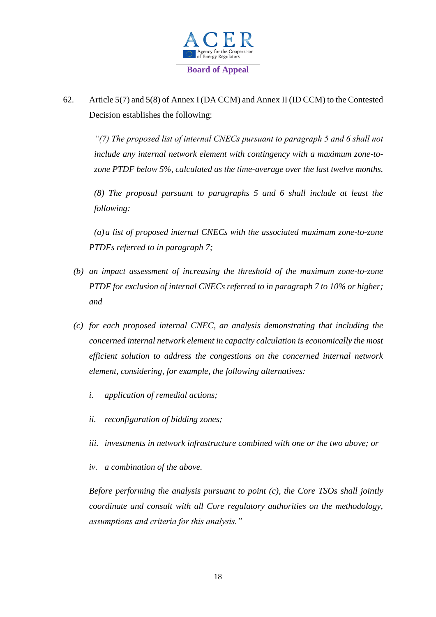

62. Article 5(7) and 5(8) of Annex I (DA CCM) and Annex II (ID CCM) to the Contested Decision establishes the following:

*"(7) The proposed list of internal CNECs pursuant to paragraph 5 and 6 shall not include any internal network element with contingency with a maximum zone-tozone PTDF below 5%, calculated as the time-average over the last twelve months.*

*(8) The proposal pursuant to paragraphs 5 and 6 shall include at least the following:*

*(a)a list of proposed internal CNECs with the associated maximum zone-to-zone PTDFs referred to in paragraph 7;*

- *(b) an impact assessment of increasing the threshold of the maximum zone-to-zone PTDF for exclusion of internal CNECs referred to in paragraph 7 to 10% or higher; and*
- *(c) for each proposed internal CNEC, an analysis demonstrating that including the concerned internal network element in capacity calculation is economically the most efficient solution to address the congestions on the concerned internal network element, considering, for example, the following alternatives:*
	- *i. application of remedial actions;*
	- *ii. reconfiguration of bidding zones;*
	- *iii. investments in network infrastructure combined with one or the two above; or*
	- *iv. a combination of the above.*

*Before performing the analysis pursuant to point (c), the Core TSOs shall jointly coordinate and consult with all Core regulatory authorities on the methodology, assumptions and criteria for this analysis."*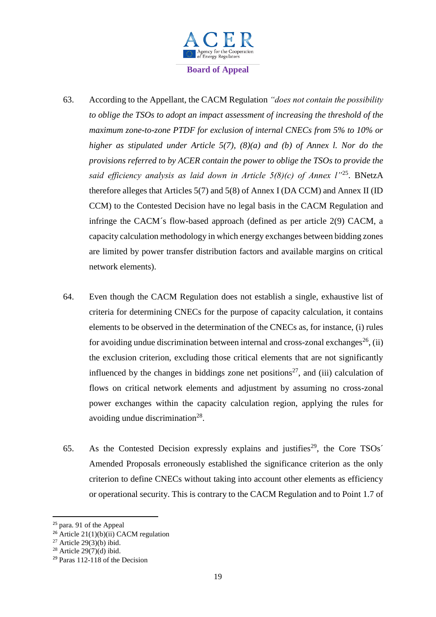

- 63. According to the Appellant, the CACM Regulation *"does not contain the possibility to oblige the TSOs to adopt an impact assessment of increasing the threshold of the maximum zone-to-zone PTDF for exclusion of internal CNECs from 5% to 10% or higher as stipulated under Article 5(7), (8)(a) and (b) of Annex l. Nor do the provisions referred to by ACER contain the power to oblige the TSOs to provide the said efficiency analysis as laid down in Article 5(8)(c) of Annex l"*<sup>25</sup> . BNetzA therefore alleges that Articles 5(7) and 5(8) of Annex I (DA CCM) and Annex II (ID CCM) to the Contested Decision have no legal basis in the CACM Regulation and infringe the CACM´s flow-based approach (defined as per article 2(9) CACM, a capacity calculation methodology in which energy exchanges between bidding zones are limited by power transfer distribution factors and available margins on critical network elements).
- 64. Even though the CACM Regulation does not establish a single, exhaustive list of criteria for determining CNECs for the purpose of capacity calculation, it contains elements to be observed in the determination of the CNECs as, for instance, (i) rules for avoiding undue discrimination between internal and cross-zonal exchanges<sup>26</sup>, (ii) the exclusion criterion, excluding those critical elements that are not significantly influenced by the changes in biddings zone net positions<sup>27</sup>, and (iii) calculation of flows on critical network elements and adjustment by assuming no cross-zonal power exchanges within the capacity calculation region, applying the rules for avoiding undue discrimination<sup>28</sup>.
- 65. As the Contested Decision expressly explains and justifies<sup>29</sup>, the Core TSOs<sup>2</sup> Amended Proposals erroneously established the significance criterion as the only criterion to define CNECs without taking into account other elements as efficiency or operational security. This is contrary to the CACM Regulation and to Point 1.7 of

<sup>25</sup> para. 91 of the Appeal

<sup>&</sup>lt;sup>26</sup> Article 21(1)(b)(ii) CACM regulation

<sup>&</sup>lt;sup>27</sup> Article 29 $(3)(b)$  ibid.

 $28$  Article 29(7)(d) ibid.

<sup>29</sup> Paras 112-118 of the Decision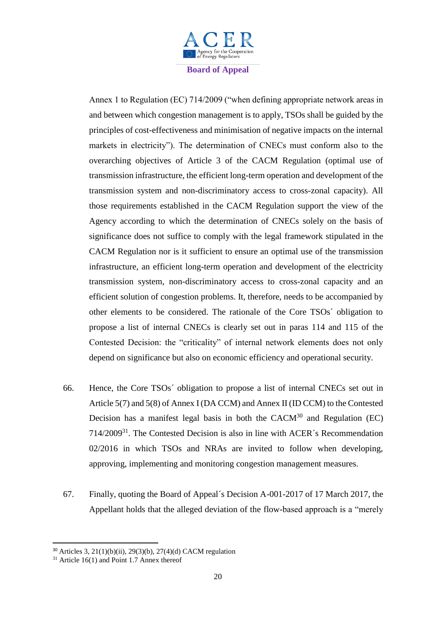

Annex 1 to Regulation (EC) 714/2009 ("when defining appropriate network areas in and between which congestion management is to apply, TSOs shall be guided by the principles of cost-effectiveness and minimisation of negative impacts on the internal markets in electricity"). The determination of CNECs must conform also to the overarching objectives of Article 3 of the CACM Regulation (optimal use of transmission infrastructure, the efficient long-term operation and development of the transmission system and non-discriminatory access to cross-zonal capacity). All those requirements established in the CACM Regulation support the view of the Agency according to which the determination of CNECs solely on the basis of significance does not suffice to comply with the legal framework stipulated in the CACM Regulation nor is it sufficient to ensure an optimal use of the transmission infrastructure, an efficient long-term operation and development of the electricity transmission system, non-discriminatory access to cross-zonal capacity and an efficient solution of congestion problems. It, therefore, needs to be accompanied by other elements to be considered. The rationale of the Core TSOs´ obligation to propose a list of internal CNECs is clearly set out in paras 114 and 115 of the Contested Decision: the "criticality" of internal network elements does not only depend on significance but also on economic efficiency and operational security.

- 66. Hence, the Core TSOs´ obligation to propose a list of internal CNECs set out in Article 5(7) and 5(8) of Annex I (DA CCM) and Annex II (ID CCM) to the Contested Decision has a manifest legal basis in both the  $CACM<sup>30</sup>$  and Regulation (EC) 714/2009<sup>31</sup>. The Contested Decision is also in line with ACER´s Recommendation 02/2016 in which TSOs and NRAs are invited to follow when developing, approving, implementing and monitoring congestion management measures.
- 67. Finally, quoting the Board of Appeal´s Decision A-001-2017 of 17 March 2017, the Appellant holds that the alleged deviation of the flow-based approach is a "merely

<sup>30</sup> Articles 3, 21(1)(b)(ii), 29(3)(b), 27(4)(d) CACM regulation

 $31$  Article 16(1) and Point 1.7 Annex thereof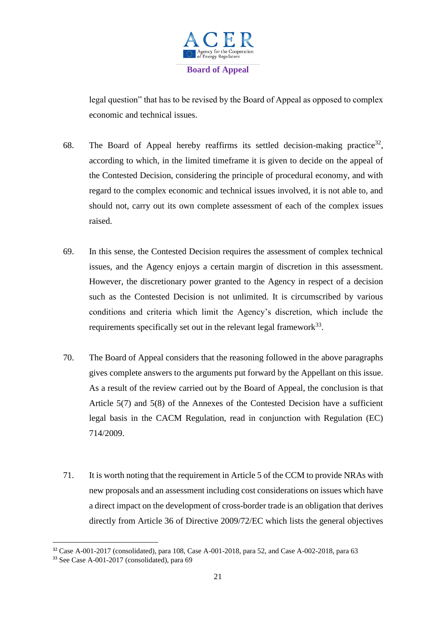

legal question" that has to be revised by the Board of Appeal as opposed to complex economic and technical issues.

- 68. The Board of Appeal hereby reaffirms its settled decision-making practice<sup>32</sup>, according to which, in the limited timeframe it is given to decide on the appeal of the Contested Decision, considering the principle of procedural economy, and with regard to the complex economic and technical issues involved, it is not able to, and should not, carry out its own complete assessment of each of the complex issues raised.
- 69. In this sense, the Contested Decision requires the assessment of complex technical issues, and the Agency enjoys a certain margin of discretion in this assessment. However, the discretionary power granted to the Agency in respect of a decision such as the Contested Decision is not unlimited. It is circumscribed by various conditions and criteria which limit the Agency's discretion, which include the requirements specifically set out in the relevant legal framework $33$ .
- 70. The Board of Appeal considers that the reasoning followed in the above paragraphs gives complete answers to the arguments put forward by the Appellant on this issue. As a result of the review carried out by the Board of Appeal, the conclusion is that Article 5(7) and 5(8) of the Annexes of the Contested Decision have a sufficient legal basis in the CACM Regulation, read in conjunction with Regulation (EC) 714/2009.
- 71. It is worth noting that the requirement in Article 5 of the CCM to provide NRAs with new proposals and an assessment including cost considerations on issues which have a direct impact on the development of cross-border trade is an obligation that derives directly from Article 36 of Directive 2009/72/EC which lists the general objectives

<sup>32</sup> Case A-001-2017 (consolidated), para 108, Case A-001-2018, para 52, and Case A-002-2018, para 63

<sup>33</sup> See Case A-001-2017 (consolidated), para 69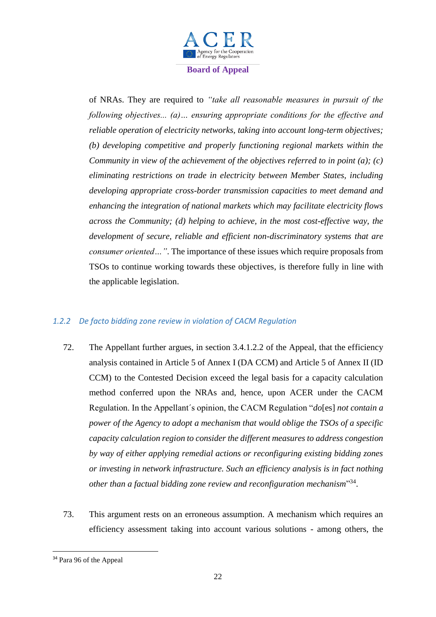

of NRAs. They are required to *"take all reasonable measures in pursuit of the following objectives... (a)… ensuring appropriate conditions for the effective and reliable operation of electricity networks, taking into account long-term objectives; (b) developing competitive and properly functioning regional markets within the Community in view of the achievement of the objectives referred to in point (a); (c) eliminating restrictions on trade in electricity between Member States, including developing appropriate cross-border transmission capacities to meet demand and enhancing the integration of national markets which may facilitate electricity flows across the Community; (d) helping to achieve, in the most cost-effective way, the development of secure, reliable and efficient non-discriminatory systems that are consumer oriented…"*. The importance of these issues which require proposals from TSOs to continue working towards these objectives, is therefore fully in line with the applicable legislation.

## *1.2.2 De facto bidding zone review in violation of CACM Regulation*

- 72. The Appellant further argues, in section 3.4.1.2.2 of the Appeal, that the efficiency analysis contained in Article 5 of Annex I (DA CCM) and Article 5 of Annex II (ID CCM) to the Contested Decision exceed the legal basis for a capacity calculation method conferred upon the NRAs and, hence, upon ACER under the CACM Regulation. In the Appellant´s opinion, the CACM Regulation "*do*[es] *not contain a power of the Agency to adopt a mechanism that would oblige the TSOs of a specific capacity calculation region to consider the different measures to address congestion by way of either applying remedial actions or reconfiguring existing bidding zones or investing in network infrastructure. Such an efficiency analysis is in fact nothing other than a factual bidding zone review and reconfiguration mechanism*" 34 .
- 73. This argument rests on an erroneous assumption. A mechanism which requires an efficiency assessment taking into account various solutions - among others, the

<sup>34</sup> Para 96 of the Appeal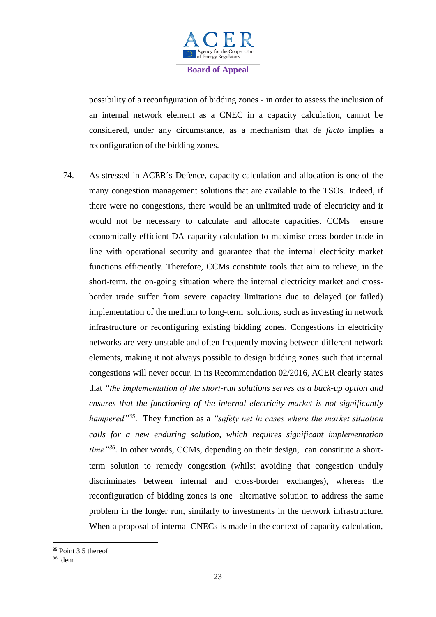

possibility of a reconfiguration of bidding zones - in order to assess the inclusion of an internal network element as a CNEC in a capacity calculation, cannot be considered, under any circumstance, as a mechanism that *de facto* implies a reconfiguration of the bidding zones.

74. As stressed in ACER´s Defence, capacity calculation and allocation is one of the many congestion management solutions that are available to the TSOs. Indeed, if there were no congestions, there would be an unlimited trade of electricity and it would not be necessary to calculate and allocate capacities. CCMs ensure economically efficient DA capacity calculation to maximise cross-border trade in line with operational security and guarantee that the internal electricity market functions efficiently. Therefore, CCMs constitute tools that aim to relieve, in the short-term, the on-going situation where the internal electricity market and crossborder trade suffer from severe capacity limitations due to delayed (or failed) implementation of the medium to long-term solutions, such as investing in network infrastructure or reconfiguring existing bidding zones. Congestions in electricity networks are very unstable and often frequently moving between different network elements, making it not always possible to design bidding zones such that internal congestions will never occur. In its Recommendation 02/2016, ACER clearly states that *"the implementation of the short-run solutions serves as a back-up option and ensures that the functioning of the internal electricity market is not significantly hampered"<sup>35</sup>* . They function as a *"safety net in cases where the market situation calls for a new enduring solution, which requires significant implementation time"<sup>36</sup>* . In other words, CCMs, depending on their design, can constitute a shortterm solution to remedy congestion (whilst avoiding that congestion unduly discriminates between internal and cross-border exchanges), whereas the reconfiguration of bidding zones is one alternative solution to address the same problem in the longer run, similarly to investments in the network infrastructure. When a proposal of internal CNECs is made in the context of capacity calculation,

<sup>&</sup>lt;sup>35</sup> Point 3.5 thereof

<sup>36</sup> idem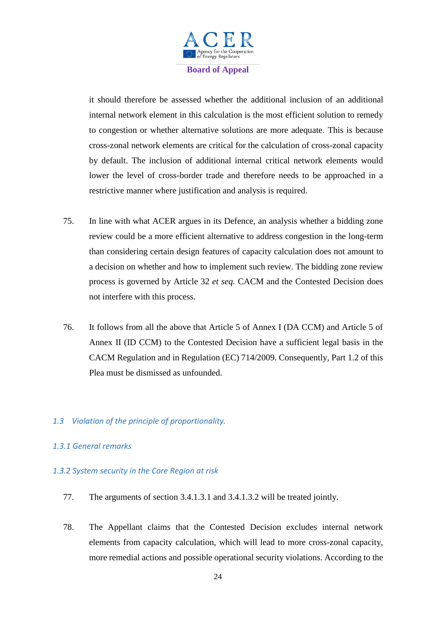

it should therefore be assessed whether the additional inclusion of an additional internal network element in this calculation is the most efficient solution to remedy to congestion or whether alternative solutions are more adequate. This is because cross-zonal network elements are critical for the calculation of cross-zonal capacity by default. The inclusion of additional internal critical network elements would lower the level of cross-border trade and therefore needs to be approached in a restrictive manner where justification and analysis is required.

- 75. In line with what ACER argues in its Defence, an analysis whether a bidding zone review could be a more efficient alternative to address congestion in the long-term than considering certain design features of capacity calculation does not amount to a decision on whether and how to implement such review. The bidding zone review process is governed by Article 32 *et seq.* CACM and the Contested Decision does not interfere with this process.
- 76. It follows from all the above that Article 5 of Annex I (DA CCM) and Article 5 of Annex II (ID CCM) to the Contested Decision have a sufficient legal basis in the CACM Regulation and in Regulation (EC) 714/2009. Consequently, Part 1.2 of this Plea must be dismissed as unfounded.
- *1.3 Violation of the principle of proportionality.*

# *1.3.1 General remarks*

## *1.3.2 System security in the Core Region at risk*

- 77. The arguments of section 3.4.1.3.1 and 3.4.1.3.2 will be treated jointly.
- 78. The Appellant claims that the Contested Decision excludes internal network elements from capacity calculation, which will lead to more cross-zonal capacity, more remedial actions and possible operational security violations. According to the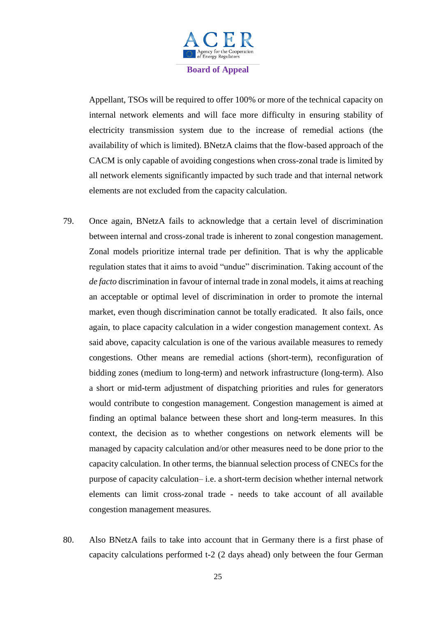

Appellant, TSOs will be required to offer 100% or more of the technical capacity on internal network elements and will face more difficulty in ensuring stability of electricity transmission system due to the increase of remedial actions (the availability of which is limited). BNetzA claims that the flow-based approach of the CACM is only capable of avoiding congestions when cross-zonal trade is limited by all network elements significantly impacted by such trade and that internal network elements are not excluded from the capacity calculation.

- 79. Once again, BNetzA fails to acknowledge that a certain level of discrimination between internal and cross-zonal trade is inherent to zonal congestion management. Zonal models prioritize internal trade per definition. That is why the applicable regulation states that it aims to avoid "undue" discrimination. Taking account of the *de facto* discrimination in favour of internal trade in zonal models, it aims at reaching an acceptable or optimal level of discrimination in order to promote the internal market, even though discrimination cannot be totally eradicated. It also fails, once again, to place capacity calculation in a wider congestion management context. As said above, capacity calculation is one of the various available measures to remedy congestions. Other means are remedial actions (short-term), reconfiguration of bidding zones (medium to long-term) and network infrastructure (long-term). Also a short or mid-term adjustment of dispatching priorities and rules for generators would contribute to congestion management. Congestion management is aimed at finding an optimal balance between these short and long-term measures. In this context, the decision as to whether congestions on network elements will be managed by capacity calculation and/or other measures need to be done prior to the capacity calculation. In other terms, the biannual selection process of CNECs for the purpose of capacity calculation– i.e. a short-term decision whether internal network elements can limit cross-zonal trade - needs to take account of all available congestion management measures.
- 80. Also BNetzA fails to take into account that in Germany there is a first phase of capacity calculations performed t-2 (2 days ahead) only between the four German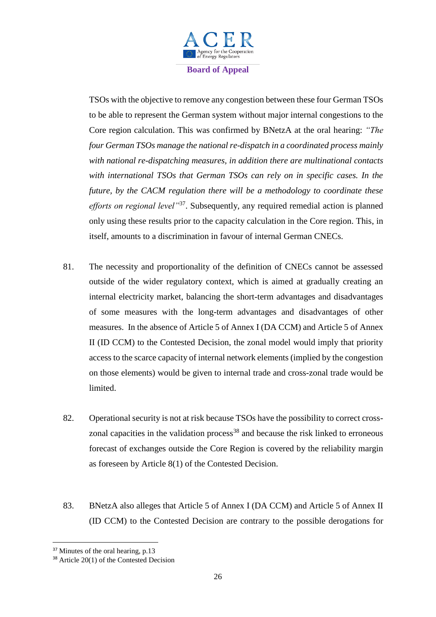

TSOs with the objective to remove any congestion between these four German TSOs to be able to represent the German system without major internal congestions to the Core region calculation. This was confirmed by BNetzA at the oral hearing: *"The four German TSOs manage the national re-dispatch in a coordinated process mainly with national re-dispatching measures, in addition there are multinational contacts with international TSOs that German TSOs can rely on in specific cases. In the future, by the CACM regulation there will be a methodology to coordinate these efforts on regional level"*<sup>37</sup>. Subsequently, any required remedial action is planned only using these results prior to the capacity calculation in the Core region. This, in itself, amounts to a discrimination in favour of internal German CNECs.

- 81. The necessity and proportionality of the definition of CNECs cannot be assessed outside of the wider regulatory context, which is aimed at gradually creating an internal electricity market, balancing the short-term advantages and disadvantages of some measures with the long-term advantages and disadvantages of other measures. In the absence of Article 5 of Annex I (DA CCM) and Article 5 of Annex II (ID CCM) to the Contested Decision, the zonal model would imply that priority access to the scarce capacity of internal network elements (implied by the congestion on those elements) would be given to internal trade and cross-zonal trade would be limited.
- 82. Operational security is not at risk because TSOs have the possibility to correct crosszonal capacities in the validation process<sup>38</sup> and because the risk linked to erroneous forecast of exchanges outside the Core Region is covered by the reliability margin as foreseen by Article 8(1) of the Contested Decision.
- 83. BNetzA also alleges that Article 5 of Annex I (DA CCM) and Article 5 of Annex II (ID CCM) to the Contested Decision are contrary to the possible derogations for

<sup>&</sup>lt;sup>37</sup> Minutes of the oral hearing, p.13

<sup>38</sup> Article 20(1) of the Contested Decision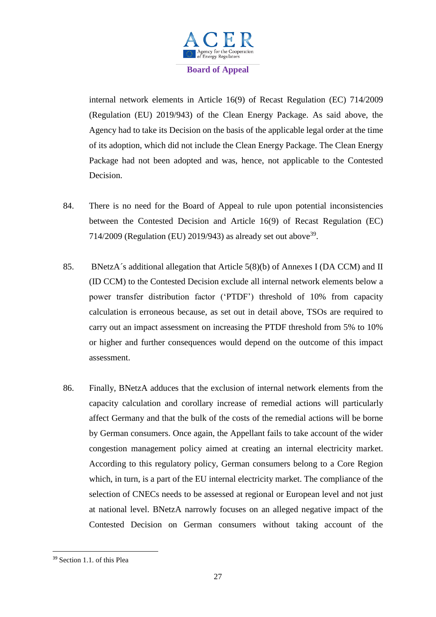

internal network elements in Article 16(9) of Recast Regulation (EC) 714/2009 (Regulation (EU) 2019/943) of the Clean Energy Package. As said above, the Agency had to take its Decision on the basis of the applicable legal order at the time of its adoption, which did not include the Clean Energy Package. The Clean Energy Package had not been adopted and was, hence, not applicable to the Contested Decision.

- 84. There is no need for the Board of Appeal to rule upon potential inconsistencies between the Contested Decision and Article 16(9) of Recast Regulation (EC) 714/2009 (Regulation (EU) 2019/943) as already set out above  $39$ .
- 85. BNetzA´s additional allegation that Article 5(8)(b) of Annexes I (DA CCM) and II (ID CCM) to the Contested Decision exclude all internal network elements below a power transfer distribution factor ('PTDF') threshold of 10% from capacity calculation is erroneous because, as set out in detail above, TSOs are required to carry out an impact assessment on increasing the PTDF threshold from 5% to 10% or higher and further consequences would depend on the outcome of this impact assessment.
- 86. Finally, BNetzA adduces that the exclusion of internal network elements from the capacity calculation and corollary increase of remedial actions will particularly affect Germany and that the bulk of the costs of the remedial actions will be borne by German consumers. Once again, the Appellant fails to take account of the wider congestion management policy aimed at creating an internal electricity market. According to this regulatory policy, German consumers belong to a Core Region which, in turn, is a part of the EU internal electricity market. The compliance of the selection of CNECs needs to be assessed at regional or European level and not just at national level. BNetzA narrowly focuses on an alleged negative impact of the Contested Decision on German consumers without taking account of the

<sup>39</sup> Section 1.1. of this Plea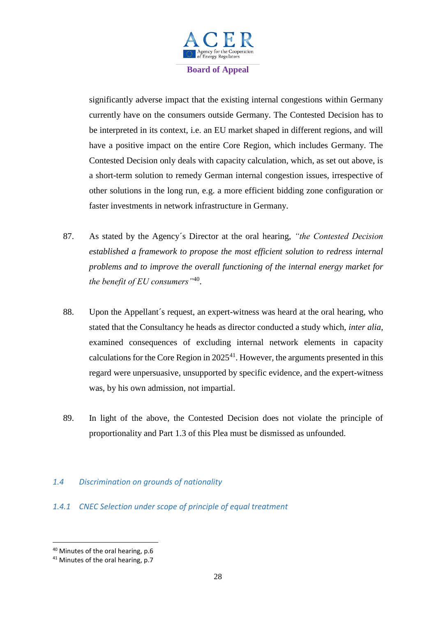

significantly adverse impact that the existing internal congestions within Germany currently have on the consumers outside Germany. The Contested Decision has to be interpreted in its context, i.e. an EU market shaped in different regions, and will have a positive impact on the entire Core Region, which includes Germany. The Contested Decision only deals with capacity calculation, which, as set out above, is a short-term solution to remedy German internal congestion issues, irrespective of other solutions in the long run, e.g. a more efficient bidding zone configuration or faster investments in network infrastructure in Germany.

- 87. As stated by the Agency´s Director at the oral hearing, *"the Contested Decision established a framework to propose the most efficient solution to redress internal problems and to improve the overall functioning of the internal energy market for the benefit of EU consumers"*<sup>40</sup> .
- 88. Upon the Appellant´s request, an expert-witness was heard at the oral hearing, who stated that the Consultancy he heads as director conducted a study which, *inter alia*, examined consequences of excluding internal network elements in capacity calculations for the Core Region in  $2025<sup>41</sup>$ . However, the arguments presented in this regard were unpersuasive, unsupported by specific evidence, and the expert-witness was, by his own admission, not impartial.
- 89. In light of the above, the Contested Decision does not violate the principle of proportionality and Part 1.3 of this Plea must be dismissed as unfounded.

## *1.4 Discrimination on grounds of nationality*

## *1.4.1 CNEC Selection under scope of principle of equal treatment*

<sup>40</sup> Minutes of the oral hearing, p.6

<sup>&</sup>lt;sup>41</sup> Minutes of the oral hearing, p.7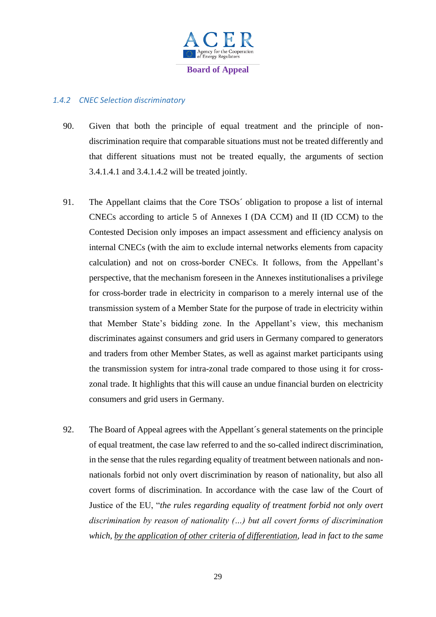

# *1.4.2 CNEC Selection discriminatory*

- 90. Given that both the principle of equal treatment and the principle of nondiscrimination require that comparable situations must not be treated differently and that different situations must not be treated equally, the arguments of section 3.4.1.4.1 and 3.4.1.4.2 will be treated jointly.
- 91. The Appellant claims that the Core TSOs´ obligation to propose a list of internal CNECs according to article 5 of Annexes I (DA CCM) and II (ID CCM) to the Contested Decision only imposes an impact assessment and efficiency analysis on internal CNECs (with the aim to exclude internal networks elements from capacity calculation) and not on cross-border CNECs. It follows, from the Appellant's perspective, that the mechanism foreseen in the Annexes institutionalises a privilege for cross-border trade in electricity in comparison to a merely internal use of the transmission system of a Member State for the purpose of trade in electricity within that Member State's bidding zone. In the Appellant's view, this mechanism discriminates against consumers and grid users in Germany compared to generators and traders from other Member States, as well as against market participants using the transmission system for intra-zonal trade compared to those using it for crosszonal trade. It highlights that this will cause an undue financial burden on electricity consumers and grid users in Germany.
- 92. The Board of Appeal agrees with the Appellant´s general statements on the principle of equal treatment, the case law referred to and the so-called indirect discrimination, in the sense that the rules regarding equality of treatment between nationals and nonnationals forbid not only overt discrimination by reason of nationality, but also all covert forms of discrimination. In accordance with the case law of the Court of Justice of the EU, "*the rules regarding equality of treatment forbid not only overt discrimination by reason of nationality (…) but all covert forms of discrimination which, by the application of other criteria of differentiation, lead in fact to the same*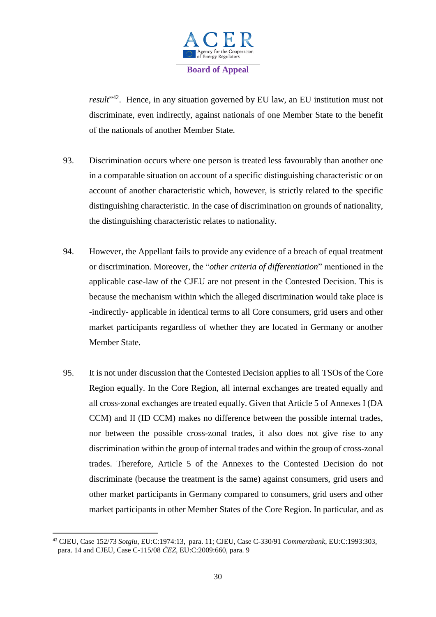

result<sup>y42</sup>. Hence, in any situation governed by EU law, an EU institution must not discriminate, even indirectly, against nationals of one Member State to the benefit of the nationals of another Member State.

- 93. Discrimination occurs where one person is treated less favourably than another one in a comparable situation on account of a specific distinguishing characteristic or on account of another characteristic which, however, is strictly related to the specific distinguishing characteristic. In the case of discrimination on grounds of nationality, the distinguishing characteristic relates to nationality.
- 94. However, the Appellant fails to provide any evidence of a breach of equal treatment or discrimination. Moreover, the "*other criteria of differentiation*" mentioned in the applicable case-law of the CJEU are not present in the Contested Decision. This is because the mechanism within which the alleged discrimination would take place is -indirectly- applicable in identical terms to all Core consumers, grid users and other market participants regardless of whether they are located in Germany or another Member State.
- 95. It is not under discussion that the Contested Decision applies to all TSOs of the Core Region equally. In the Core Region, all internal exchanges are treated equally and all cross-zonal exchanges are treated equally. Given that Article 5 of Annexes I (DA CCM) and II (ID CCM) makes no difference between the possible internal trades, nor between the possible cross-zonal trades, it also does not give rise to any discrimination within the group of internal trades and within the group of cross-zonal trades. Therefore, Article 5 of the Annexes to the Contested Decision do not discriminate (because the treatment is the same) against consumers, grid users and other market participants in Germany compared to consumers, grid users and other market participants in other Member States of the Core Region. In particular, and as

 $\overline{a}$ <sup>42</sup> CJEU, Case 152/73 *Sotgiu*, EU:C:1974:13, para. 11; CJEU, Case C-330/91 *Commerzbank*, EU:C:1993:303, para. 14 and CJEU, Case C-115/08 *ČEZ*, EU:C:2009:660, para. 9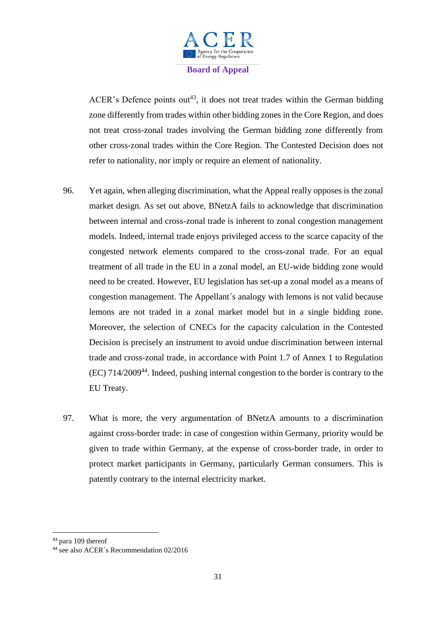

ACER's Defence points out<sup>43</sup>, it does not treat trades within the German bidding zone differently from trades within other bidding zones in the Core Region, and does not treat cross-zonal trades involving the German bidding zone differently from other cross-zonal trades within the Core Region. The Contested Decision does not refer to nationality, nor imply or require an element of nationality.

- 96. Yet again, when alleging discrimination, what the Appeal really opposes is the zonal market design. As set out above, BNetzA fails to acknowledge that discrimination between internal and cross-zonal trade is inherent to zonal congestion management models. Indeed, internal trade enjoys privileged access to the scarce capacity of the congested network elements compared to the cross-zonal trade. For an equal treatment of all trade in the EU in a zonal model, an EU-wide bidding zone would need to be created. However, EU legislation has set-up a zonal model as a means of congestion management. The Appellant´s analogy with lemons is not valid because lemons are not traded in a zonal market model but in a single bidding zone. Moreover, the selection of CNECs for the capacity calculation in the Contested Decision is precisely an instrument to avoid undue discrimination between internal trade and cross-zonal trade, in accordance with Point 1.7 of Annex 1 to Regulation (EC) 714/2009<sup>44</sup>. Indeed, pushing internal congestion to the border is contrary to the EU Treaty.
- 97. What is more, the very argumentation of BNetzA amounts to a discrimination against cross-border trade: in case of congestion within Germany, priority would be given to trade within Germany, at the expense of cross-border trade, in order to protect market participants in Germany, particularly German consumers. This is patently contrary to the internal electricity market.

 $\overline{a}$ 

<sup>43</sup> para 109 thereof

<sup>&</sup>lt;sup>44</sup> see also ACER's Recommendation 02/2016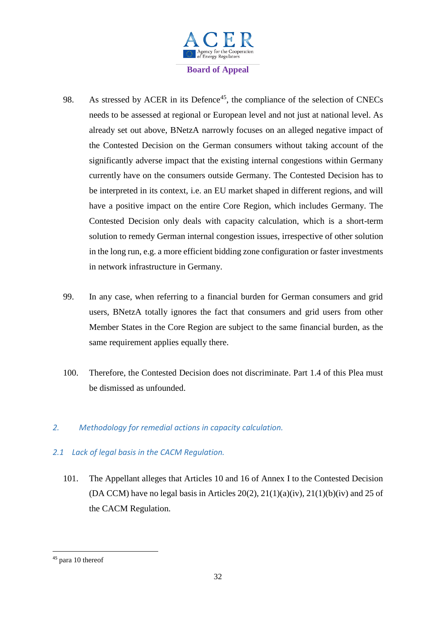

- 98. As stressed by ACER in its Defence<sup>45</sup>, the compliance of the selection of CNECs needs to be assessed at regional or European level and not just at national level. As already set out above, BNetzA narrowly focuses on an alleged negative impact of the Contested Decision on the German consumers without taking account of the significantly adverse impact that the existing internal congestions within Germany currently have on the consumers outside Germany. The Contested Decision has to be interpreted in its context, i.e. an EU market shaped in different regions, and will have a positive impact on the entire Core Region, which includes Germany. The Contested Decision only deals with capacity calculation, which is a short-term solution to remedy German internal congestion issues, irrespective of other solution in the long run, e.g. a more efficient bidding zone configuration or faster investments in network infrastructure in Germany.
- 99. In any case, when referring to a financial burden for German consumers and grid users, BNetzA totally ignores the fact that consumers and grid users from other Member States in the Core Region are subject to the same financial burden, as the same requirement applies equally there.
- 100. Therefore, the Contested Decision does not discriminate. Part 1.4 of this Plea must be dismissed as unfounded.
- *2. Methodology for remedial actions in capacity calculation.*
- *2.1 Lack of legal basis in the CACM Regulation.*
	- 101. The Appellant alleges that Articles 10 and 16 of Annex I to the Contested Decision (DA CCM) have no legal basis in Articles 20(2),  $21(1)(a)(iv)$ ,  $21(1)(b)(iv)$  and 25 of the CACM Regulation.

<sup>45</sup> para 10 thereof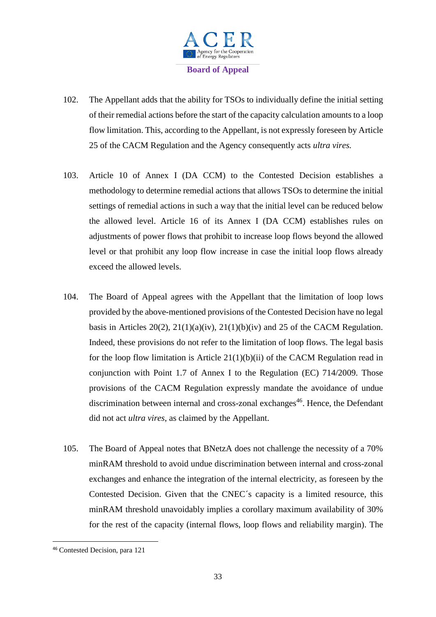

- 102. The Appellant adds that the ability for TSOs to individually define the initial setting of their remedial actions before the start of the capacity calculation amounts to a loop flow limitation. This, according to the Appellant, is not expressly foreseen by Article 25 of the CACM Regulation and the Agency consequently acts *ultra vires.*
- 103. Article 10 of Annex I (DA CCM) to the Contested Decision establishes a methodology to determine remedial actions that allows TSOs to determine the initial settings of remedial actions in such a way that the initial level can be reduced below the allowed level. Article 16 of its Annex I (DA CCM) establishes rules on adjustments of power flows that prohibit to increase loop flows beyond the allowed level or that prohibit any loop flow increase in case the initial loop flows already exceed the allowed levels.
- 104. The Board of Appeal agrees with the Appellant that the limitation of loop lows provided by the above-mentioned provisions of the Contested Decision have no legal basis in Articles 20(2),  $21(1)(a)(iv)$ ,  $21(1)(b)(iv)$  and 25 of the CACM Regulation. Indeed, these provisions do not refer to the limitation of loop flows. The legal basis for the loop flow limitation is Article  $21(1)(b)(ii)$  of the CACM Regulation read in conjunction with Point 1.7 of Annex I to the Regulation (EC) 714/2009. Those provisions of the CACM Regulation expressly mandate the avoidance of undue discrimination between internal and cross-zonal exchanges $46$ . Hence, the Defendant did not act *ultra vires*, as claimed by the Appellant.
- 105. The Board of Appeal notes that BNetzA does not challenge the necessity of a 70% minRAM threshold to avoid undue discrimination between internal and cross-zonal exchanges and enhance the integration of the internal electricity, as foreseen by the Contested Decision. Given that the CNEC´s capacity is a limited resource, this minRAM threshold unavoidably implies a corollary maximum availability of 30% for the rest of the capacity (internal flows, loop flows and reliability margin). The

<sup>46</sup> Contested Decision, para 121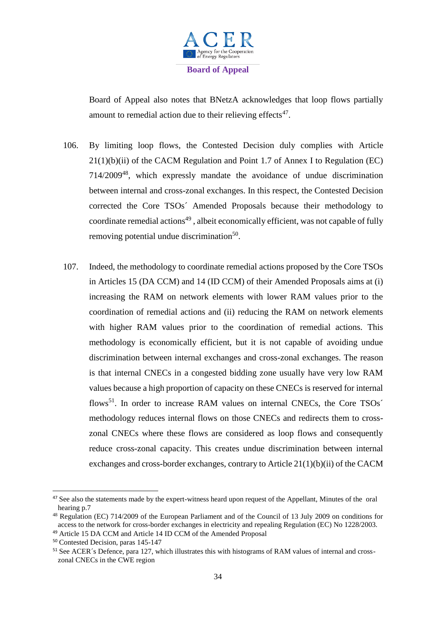

Board of Appeal also notes that BNetzA acknowledges that loop flows partially amount to remedial action due to their relieving effects $47$ .

- 106. By limiting loop flows, the Contested Decision duly complies with Article 21(1)(b)(ii) of the CACM Regulation and Point 1.7 of Annex I to Regulation (EC) 714/2009<sup>48</sup>, which expressly mandate the avoidance of undue discrimination between internal and cross-zonal exchanges. In this respect, the Contested Decision corrected the Core TSOs´ Amended Proposals because their methodology to  $\alpha$  coordinate remedial actions<sup>49</sup>, albeit economically efficient, was not capable of fully removing potential undue discrimination<sup>50</sup>.
- 107. Indeed, the methodology to coordinate remedial actions proposed by the Core TSOs in Articles 15 (DA CCM) and 14 (ID CCM) of their Amended Proposals aims at (i) increasing the RAM on network elements with lower RAM values prior to the coordination of remedial actions and (ii) reducing the RAM on network elements with higher RAM values prior to the coordination of remedial actions. This methodology is economically efficient, but it is not capable of avoiding undue discrimination between internal exchanges and cross-zonal exchanges. The reason is that internal CNECs in a congested bidding zone usually have very low RAM values because a high proportion of capacity on these CNECs is reserved for internal flows<sup>51</sup>. In order to increase RAM values on internal CNECs, the Core TSOs<sup>2</sup> methodology reduces internal flows on those CNECs and redirects them to crosszonal CNECs where these flows are considered as loop flows and consequently reduce cross-zonal capacity. This creates undue discrimination between internal exchanges and cross-border exchanges, contrary to Article 21(1)(b)(ii) of the CACM

<sup>&</sup>lt;sup>47</sup> See also the statements made by the expert-witness heard upon request of the Appellant, Minutes of the oral hearing p.7

<sup>48</sup> Regulation (EC) 714/2009 of the European Parliament and of the Council of 13 July 2009 on conditions for access to the network for cross-border exchanges in electricity and repealing Regulation (EC) No 1228/2003.

<sup>49</sup> Article 15 DA CCM and Article 14 ID CCM of the Amended Proposal

<sup>50</sup> Contested Decision, paras 145-147

<sup>51</sup> See ACER´s Defence, para 127, which illustrates this with histograms of RAM values of internal and crosszonal CNECs in the CWE region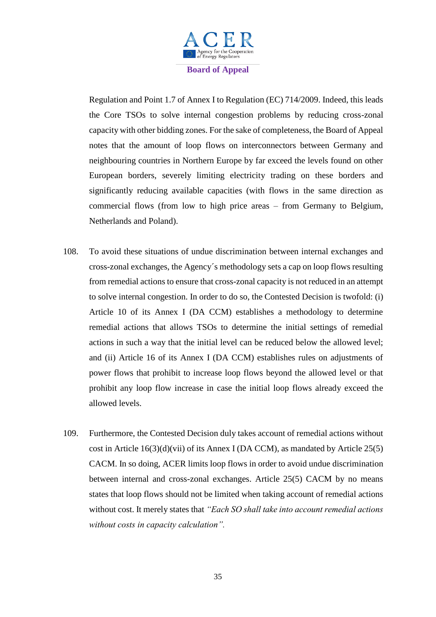

Regulation and Point 1.7 of Annex I to Regulation (EC) 714/2009. Indeed, this leads the Core TSOs to solve internal congestion problems by reducing cross-zonal capacity with other bidding zones. For the sake of completeness, the Board of Appeal notes that the amount of loop flows on interconnectors between Germany and neighbouring countries in Northern Europe by far exceed the levels found on other European borders, severely limiting electricity trading on these borders and significantly reducing available capacities (with flows in the same direction as commercial flows (from low to high price areas – from Germany to Belgium, Netherlands and Poland).

- 108. To avoid these situations of undue discrimination between internal exchanges and cross-zonal exchanges, the Agency´s methodology sets a cap on loop flows resulting from remedial actions to ensure that cross-zonal capacity is not reduced in an attempt to solve internal congestion. In order to do so, the Contested Decision is twofold: (i) Article 10 of its Annex I (DA CCM) establishes a methodology to determine remedial actions that allows TSOs to determine the initial settings of remedial actions in such a way that the initial level can be reduced below the allowed level; and (ii) Article 16 of its Annex I (DA CCM) establishes rules on adjustments of power flows that prohibit to increase loop flows beyond the allowed level or that prohibit any loop flow increase in case the initial loop flows already exceed the allowed levels.
- 109. Furthermore, the Contested Decision duly takes account of remedial actions without cost in Article  $16(3)(d)(vii)$  of its Annex I (DA CCM), as mandated by Article 25(5) CACM. In so doing, ACER limits loop flows in order to avoid undue discrimination between internal and cross-zonal exchanges. Article 25(5) CACM by no means states that loop flows should not be limited when taking account of remedial actions without cost. It merely states that *"Each SO shall take into account remedial actions without costs in capacity calculation".*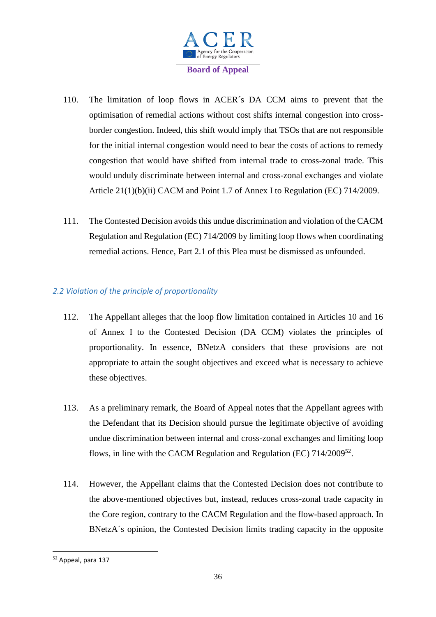

- 110. The limitation of loop flows in ACER´s DA CCM aims to prevent that the optimisation of remedial actions without cost shifts internal congestion into crossborder congestion. Indeed, this shift would imply that TSOs that are not responsible for the initial internal congestion would need to bear the costs of actions to remedy congestion that would have shifted from internal trade to cross-zonal trade. This would unduly discriminate between internal and cross-zonal exchanges and violate Article 21(1)(b)(ii) CACM and Point 1.7 of Annex I to Regulation (EC) 714/2009.
- 111. The Contested Decision avoids this undue discrimination and violation of the CACM Regulation and Regulation (EC) 714/2009 by limiting loop flows when coordinating remedial actions. Hence, Part 2.1 of this Plea must be dismissed as unfounded.

# *2.2 Violation of the principle of proportionality*

- 112. The Appellant alleges that the loop flow limitation contained in Articles 10 and 16 of Annex I to the Contested Decision (DA CCM) violates the principles of proportionality. In essence, BNetzA considers that these provisions are not appropriate to attain the sought objectives and exceed what is necessary to achieve these objectives.
- 113. As a preliminary remark, the Board of Appeal notes that the Appellant agrees with the Defendant that its Decision should pursue the legitimate objective of avoiding undue discrimination between internal and cross-zonal exchanges and limiting loop flows, in line with the CACM Regulation and Regulation (EC) 714/2009<sup>52</sup>.
- 114. However, the Appellant claims that the Contested Decision does not contribute to the above-mentioned objectives but, instead, reduces cross-zonal trade capacity in the Core region, contrary to the CACM Regulation and the flow-based approach. In BNetzA´s opinion, the Contested Decision limits trading capacity in the opposite

<sup>52</sup> Appeal, para 137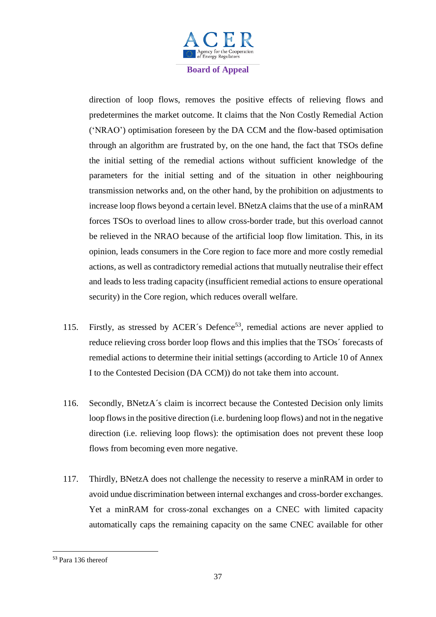

direction of loop flows, removes the positive effects of relieving flows and predetermines the market outcome. It claims that the Non Costly Remedial Action ('NRAO') optimisation foreseen by the DA CCM and the flow-based optimisation through an algorithm are frustrated by, on the one hand, the fact that TSOs define the initial setting of the remedial actions without sufficient knowledge of the parameters for the initial setting and of the situation in other neighbouring transmission networks and, on the other hand, by the prohibition on adjustments to increase loop flows beyond a certain level. BNetzA claims that the use of a minRAM forces TSOs to overload lines to allow cross-border trade, but this overload cannot be relieved in the NRAO because of the artificial loop flow limitation. This, in its opinion, leads consumers in the Core region to face more and more costly remedial actions, as well as contradictory remedial actions that mutually neutralise their effect and leads to less trading capacity (insufficient remedial actions to ensure operational security) in the Core region, which reduces overall welfare.

- 115. Firstly, as stressed by ACER's Defence<sup>53</sup>, remedial actions are never applied to reduce relieving cross border loop flows and this implies that the TSOs´ forecasts of remedial actions to determine their initial settings (according to Article 10 of Annex I to the Contested Decision (DA CCM)) do not take them into account.
- 116. Secondly, BNetzA´s claim is incorrect because the Contested Decision only limits loop flows in the positive direction (i.e. burdening loop flows) and not in the negative direction (i.e. relieving loop flows): the optimisation does not prevent these loop flows from becoming even more negative.
- 117. Thirdly, BNetzA does not challenge the necessity to reserve a minRAM in order to avoid undue discrimination between internal exchanges and cross-border exchanges. Yet a minRAM for cross-zonal exchanges on a CNEC with limited capacity automatically caps the remaining capacity on the same CNEC available for other

<sup>53</sup> Para 136 thereof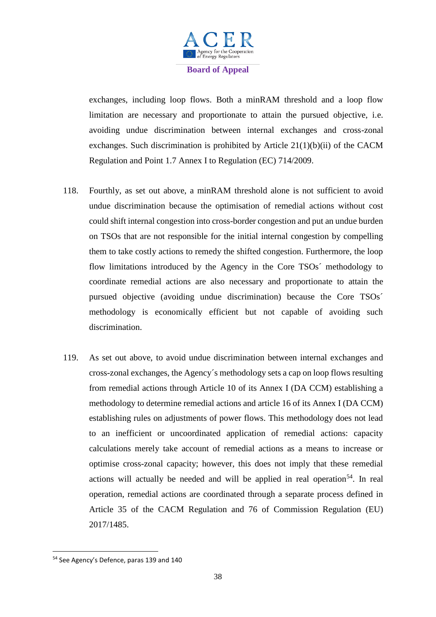

exchanges, including loop flows. Both a minRAM threshold and a loop flow limitation are necessary and proportionate to attain the pursued objective, i.e. avoiding undue discrimination between internal exchanges and cross-zonal exchanges. Such discrimination is prohibited by Article 21(1)(b)(ii) of the CACM Regulation and Point 1.7 Annex I to Regulation (EC) 714/2009.

- 118. Fourthly, as set out above, a minRAM threshold alone is not sufficient to avoid undue discrimination because the optimisation of remedial actions without cost could shift internal congestion into cross-border congestion and put an undue burden on TSOs that are not responsible for the initial internal congestion by compelling them to take costly actions to remedy the shifted congestion. Furthermore, the loop flow limitations introduced by the Agency in the Core TSOs´ methodology to coordinate remedial actions are also necessary and proportionate to attain the pursued objective (avoiding undue discrimination) because the Core TSOs´ methodology is economically efficient but not capable of avoiding such discrimination.
- 119. As set out above, to avoid undue discrimination between internal exchanges and cross-zonal exchanges, the Agency´s methodology sets a cap on loop flows resulting from remedial actions through Article 10 of its Annex I (DA CCM) establishing a methodology to determine remedial actions and article 16 of its Annex I (DA CCM) establishing rules on adjustments of power flows. This methodology does not lead to an inefficient or uncoordinated application of remedial actions: capacity calculations merely take account of remedial actions as a means to increase or optimise cross-zonal capacity; however, this does not imply that these remedial actions will actually be needed and will be applied in real operation<sup>54</sup>. In real operation, remedial actions are coordinated through a separate process defined in Article 35 of the CACM Regulation and 76 of Commission Regulation (EU) 2017/1485.

<sup>54</sup> See Agency's Defence, paras 139 and 140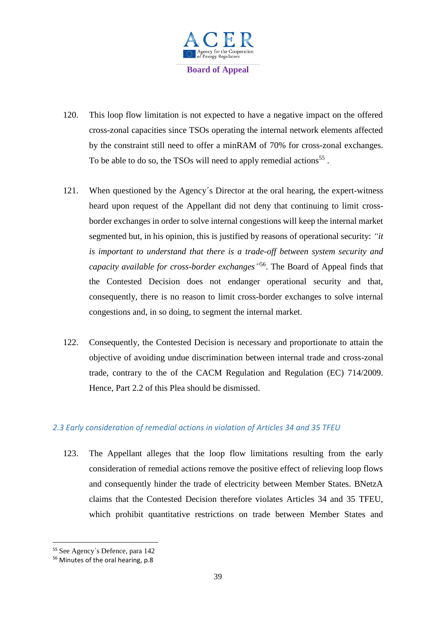

- 120. This loop flow limitation is not expected to have a negative impact on the offered cross-zonal capacities since TSOs operating the internal network elements affected by the constraint still need to offer a minRAM of 70% for cross-zonal exchanges. To be able to do so, the TSOs will need to apply remedial actions<sup>55</sup>.
- 121. When questioned by the Agency´s Director at the oral hearing, the expert-witness heard upon request of the Appellant did not deny that continuing to limit crossborder exchanges in order to solve internal congestions will keep the internal market segmented but, in his opinion, this is justified by reasons of operational security: *"it is important to understand that there is a trade-off between system security and capacity available for cross-border exchanges"* 56 . The Board of Appeal finds that the Contested Decision does not endanger operational security and that, consequently, there is no reason to limit cross-border exchanges to solve internal congestions and, in so doing, to segment the internal market.
- 122. Consequently, the Contested Decision is necessary and proportionate to attain the objective of avoiding undue discrimination between internal trade and cross-zonal trade, contrary to the of the CACM Regulation and Regulation (EC) 714/2009. Hence, Part 2.2 of this Plea should be dismissed.

## *2.3 Early consideration of remedial actions in violation of Articles 34 and 35 TFEU*

123. The Appellant alleges that the loop flow limitations resulting from the early consideration of remedial actions remove the positive effect of relieving loop flows and consequently hinder the trade of electricity between Member States. BNetzA claims that the Contested Decision therefore violates Articles 34 and 35 TFEU, which prohibit quantitative restrictions on trade between Member States and

<sup>55</sup> See Agency´s Defence, para 142

<sup>56</sup> Minutes of the oral hearing, p.8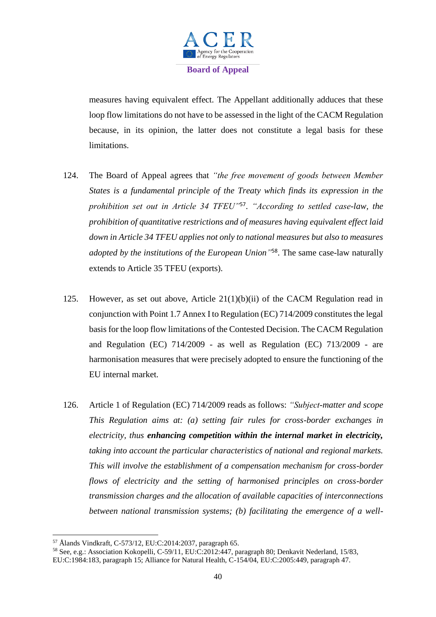

measures having equivalent effect. The Appellant additionally adduces that these loop flow limitations do not have to be assessed in the light of the CACM Regulation because, in its opinion, the latter does not constitute a legal basis for these limitations.

- 124. The Board of Appeal agrees that *"the free movement of goods between Member States is a fundamental principle of the Treaty which finds its expression in the prohibition set out in Article 34 TFEU"*<sup>57</sup> . *"According to settled case-law, the prohibition of quantitative restrictions and of measures having equivalent effect laid down in Article 34 TFEU applies not only to national measures but also to measures adopted by the institutions of the European Union"* <sup>58</sup>. The same case-law naturally extends to Article 35 TFEU (exports).
- 125. However, as set out above, Article 21(1)(b)(ii) of the CACM Regulation read in conjunction with Point 1.7 Annex I to Regulation (EC) 714/2009 constitutes the legal basis for the loop flow limitations of the Contested Decision. The CACM Regulation and Regulation (EC) 714/2009 - as well as Regulation (EC) 713/2009 - are harmonisation measures that were precisely adopted to ensure the functioning of the EU internal market.
- 126. Article 1 of Regulation (EC) 714/2009 reads as follows: *"Subject-matter and scope This Regulation aims at: (a) setting fair rules for cross-border exchanges in electricity, thus enhancing competition within the internal market in electricity, taking into account the particular characteristics of national and regional markets. This will involve the establishment of a compensation mechanism for cross-border flows of electricity and the setting of harmonised principles on cross-border transmission charges and the allocation of available capacities of interconnections between national transmission systems; (b) facilitating the emergence of a well-*

 $\overline{a}$ 

<sup>57</sup> Ålands Vindkraft, C-573/12, EU:C:2014:2037, paragraph 65.

<sup>58</sup> See, e.g.: Association Kokopelli, C-59/11, EU:C:2012:447, paragraph 80; Denkavit Nederland, 15/83, EU:C:1984:183, paragraph 15; Alliance for Natural Health, C-154/04, EU:C:2005:449, paragraph 47.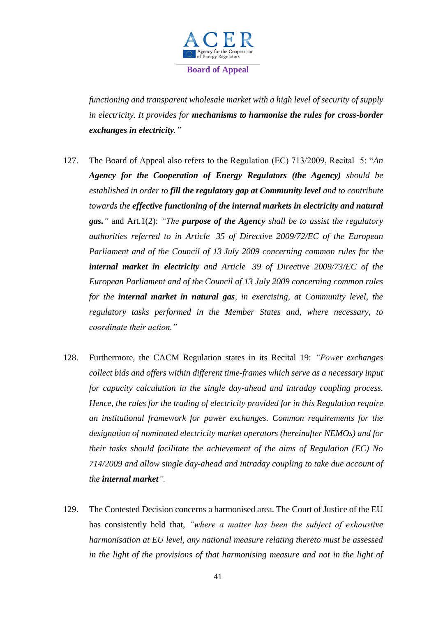

*functioning and transparent wholesale market with a high level of security of supply in electricity. It provides for mechanisms to harmonise the rules for cross-border exchanges in electricity."*

- 127. The Board of Appeal also refers to the Regulation (EC) 713/2009, Recital 5: "*An Agency for the Cooperation of Energy Regulators (the Agency) should be established in order to fill the regulatory gap at Community level and to contribute towards the effective functioning of the internal markets in electricity and natural gas."* and Art.1(2): *"The purpose of the Agency shall be to assist the regulatory authorities referred to in Article 35 of Directive 2009/72/EC of the European Parliament and of the Council of 13 July 2009 concerning common rules for the internal market in electricity and Article 39 of Directive 2009/73/EC of the European Parliament and of the Council of 13 July 2009 concerning common rules for the internal market in natural gas, in exercising, at Community level, the regulatory tasks performed in the Member States and, where necessary, to coordinate their action."*
- 128. Furthermore, the CACM Regulation states in its Recital 19: *"Power exchanges collect bids and offers within different time-frames which serve as a necessary input for capacity calculation in the single day-ahead and intraday coupling process. Hence, the rules for the trading of electricity provided for in this Regulation require an institutional framework for power exchanges. Common requirements for the designation of nominated electricity market operators (hereinafter NEMOs) and for their tasks should facilitate the achievement of the aims of Regulation (EC) No 714/2009 and allow single day-ahead and intraday coupling to take due account of the internal market".*
- 129. The Contested Decision concerns a harmonised area. The Court of Justice of the EU has consistently held that, *"where a matter has been the subject of exhaustive harmonisation at EU level, any national measure relating thereto must be assessed in the light of the provisions of that harmonising measure and not in the light of*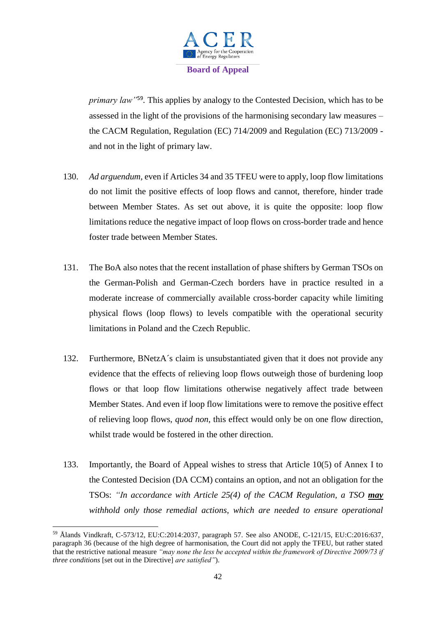

*primary law"*<sup>59</sup> *.* This applies by analogy to the Contested Decision, which has to be assessed in the light of the provisions of the harmonising secondary law measures – the CACM Regulation, Regulation (EC) 714/2009 and Regulation (EC) 713/2009 and not in the light of primary law.

- 130. *Ad arguendum,* even if Articles 34 and 35 TFEU were to apply, loop flow limitations do not limit the positive effects of loop flows and cannot, therefore, hinder trade between Member States. As set out above, it is quite the opposite: loop flow limitations reduce the negative impact of loop flows on cross-border trade and hence foster trade between Member States.
- 131. The BoA also notes that the recent installation of phase shifters by German TSOs on the German-Polish and German-Czech borders have in practice resulted in a moderate increase of commercially available cross-border capacity while limiting physical flows (loop flows) to levels compatible with the operational security limitations in Poland and the Czech Republic.
- 132. Furthermore, BNetzA´s claim is unsubstantiated given that it does not provide any evidence that the effects of relieving loop flows outweigh those of burdening loop flows or that loop flow limitations otherwise negatively affect trade between Member States. And even if loop flow limitations were to remove the positive effect of relieving loop flows, *quod non*, this effect would only be on one flow direction, whilst trade would be fostered in the other direction.
- 133. Importantly, the Board of Appeal wishes to stress that Article 10(5) of Annex I to the Contested Decision (DA CCM) contains an option, and not an obligation for the TSOs: *"In accordance with Article 25(4) of the CACM Regulation, a TSO may withhold only those remedial actions, which are needed to ensure operational*

<sup>59</sup> Ålands Vindkraft, C-573/12, EU:C:2014:2037, paragraph 57. See also ANODE, C-121/15, EU:C:2016:637, paragraph 36 (because of the high degree of harmonisation, the Court did not apply the TFEU, but rather stated that the restrictive national measure *"may none the less be accepted within the framework of Directive 2009/73 if three conditions* [set out in the Directive] *are satisfied"*).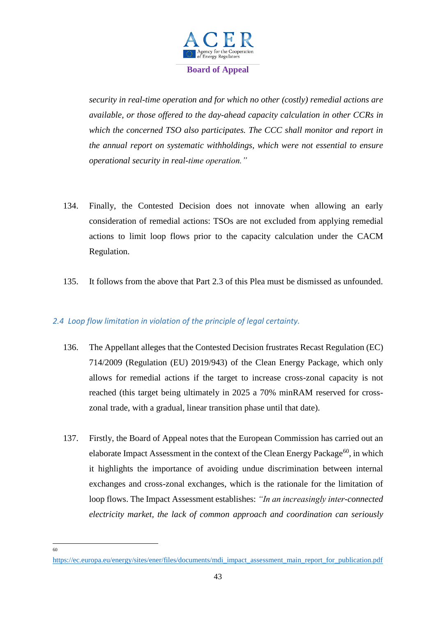

*security in real-time operation and for which no other (costly) remedial actions are available, or those offered to the day-ahead capacity calculation in other CCRs in which the concerned TSO also participates. The CCC shall monitor and report in the annual report on systematic withholdings, which were not essential to ensure operational security in real-time operation."* 

- 134. Finally, the Contested Decision does not innovate when allowing an early consideration of remedial actions: TSOs are not excluded from applying remedial actions to limit loop flows prior to the capacity calculation under the CACM Regulation.
- 135. It follows from the above that Part 2.3 of this Plea must be dismissed as unfounded.

## *2.4 Loop flow limitation in violation of the principle of legal certainty.*

- 136. The Appellant alleges that the Contested Decision frustrates Recast Regulation (EC) 714/2009 (Regulation (EU) 2019/943) of the Clean Energy Package, which only allows for remedial actions if the target to increase cross-zonal capacity is not reached (this target being ultimately in 2025 a 70% minRAM reserved for crosszonal trade, with a gradual, linear transition phase until that date).
- 137. Firstly, the Board of Appeal notes that the European Commission has carried out an elaborate Impact Assessment in the context of the Clean Energy Package<sup>60</sup>, in which it highlights the importance of avoiding undue discrimination between internal exchanges and cross-zonal exchanges, which is the rationale for the limitation of loop flows. The Impact Assessment establishes: *"In an increasingly inter-connected electricity market, the lack of common approach and coordination can seriously*

 $\frac{1}{60}$ 

[https://ec.europa.eu/energy/sites/ener/files/documents/mdi\\_impact\\_assessment\\_main\\_report\\_for\\_publication.pdf](https://ec.europa.eu/energy/sites/ener/files/documents/mdi_impact_assessment_main_report_for_publication.pdf)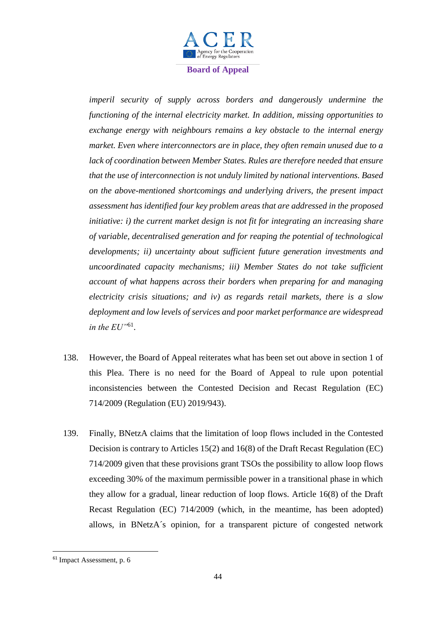

*imperil security of supply across borders and dangerously undermine the functioning of the internal electricity market. In addition, missing opportunities to exchange energy with neighbours remains a key obstacle to the internal energy market. Even where interconnectors are in place, they often remain unused due to a lack of coordination between Member States. Rules are therefore needed that ensure that the use of interconnection is not unduly limited by national interventions. Based on the above-mentioned shortcomings and underlying drivers, the present impact assessment has identified four key problem areas that are addressed in the proposed initiative: i) the current market design is not fit for integrating an increasing share of variable, decentralised generation and for reaping the potential of technological developments; ii) uncertainty about sufficient future generation investments and uncoordinated capacity mechanisms; iii) Member States do not take sufficient account of what happens across their borders when preparing for and managing electricity crisis situations; and iv) as regards retail markets, there is a slow deployment and low levels of services and poor market performance are widespread in the EU"*<sup>61</sup> .

- 138. However, the Board of Appeal reiterates what has been set out above in section 1 of this Plea. There is no need for the Board of Appeal to rule upon potential inconsistencies between the Contested Decision and Recast Regulation (EC) 714/2009 (Regulation (EU) 2019/943).
- 139. Finally, BNetzA claims that the limitation of loop flows included in the Contested Decision is contrary to Articles 15(2) and 16(8) of the Draft Recast Regulation (EC) 714/2009 given that these provisions grant TSOs the possibility to allow loop flows exceeding 30% of the maximum permissible power in a transitional phase in which they allow for a gradual, linear reduction of loop flows. Article 16(8) of the Draft Recast Regulation (EC) 714/2009 (which, in the meantime, has been adopted) allows, in BNetzA´s opinion, for a transparent picture of congested network

<sup>61</sup> Impact Assessment, p. 6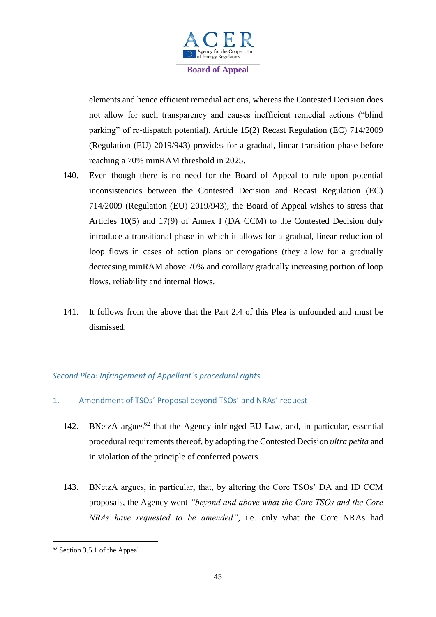

elements and hence efficient remedial actions, whereas the Contested Decision does not allow for such transparency and causes inefficient remedial actions ("blind parking" of re-dispatch potential). Article 15(2) Recast Regulation (EC) 714/2009 (Regulation (EU) 2019/943) provides for a gradual, linear transition phase before reaching a 70% minRAM threshold in 2025.

- 140. Even though there is no need for the Board of Appeal to rule upon potential inconsistencies between the Contested Decision and Recast Regulation (EC) 714/2009 (Regulation (EU) 2019/943), the Board of Appeal wishes to stress that Articles 10(5) and 17(9) of Annex I (DA CCM) to the Contested Decision duly introduce a transitional phase in which it allows for a gradual, linear reduction of loop flows in cases of action plans or derogations (they allow for a gradually decreasing minRAM above 70% and corollary gradually increasing portion of loop flows, reliability and internal flows.
- 141. It follows from the above that the Part 2.4 of this Plea is unfounded and must be dismissed.

## *Second Plea: Infringement of Appellant´s procedural rights*

- 1. Amendment of TSOs´ Proposal beyond TSOs´ and NRAs´ request
	- 142. BNetzA argues<sup>62</sup> that the Agency infringed EU Law, and, in particular, essential procedural requirements thereof, by adopting the Contested Decision *ultra petita* and in violation of the principle of conferred powers.
	- 143. BNetzA argues, in particular, that, by altering the Core TSOs' DA and ID CCM proposals, the Agency went *"beyond and above what the Core TSOs and the Core NRAs have requested to be amended"*, i.e. only what the Core NRAs had

<sup>62</sup> Section 3.5.1 of the Appeal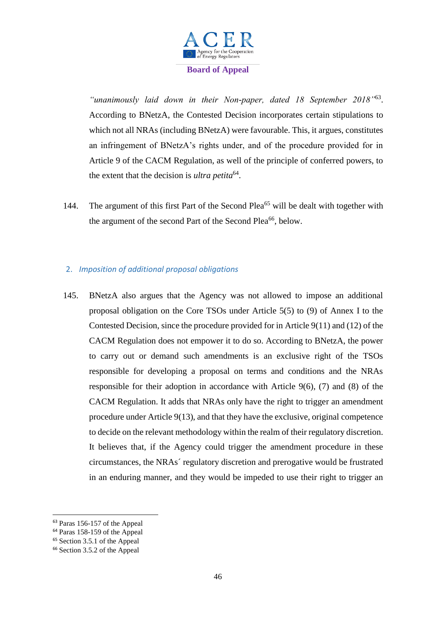

*"unanimously laid down in their Non-paper, dated 18 September 2018"*<sup>63</sup> . According to BNetzA, the Contested Decision incorporates certain stipulations to which not all NRAs (including BNetzA) were favourable. This, it argues, constitutes an infringement of BNetzA's rights under, and of the procedure provided for in Article 9 of the CACM Regulation, as well of the principle of conferred powers, to the extent that the decision is *ultra petita*<sup>64</sup>.

144. The argument of this first Part of the Second Plea<sup>65</sup> will be dealt with together with the argument of the second Part of the Second Plea<sup>66</sup>, below.

# 2. *Imposition of additional proposal obligations*

145. BNetzA also argues that the Agency was not allowed to impose an additional proposal obligation on the Core TSOs under Article 5(5) to (9) of Annex I to the Contested Decision, since the procedure provided for in Article 9(11) and (12) of the CACM Regulation does not empower it to do so. According to BNetzA, the power to carry out or demand such amendments is an exclusive right of the TSOs responsible for developing a proposal on terms and conditions and the NRAs responsible for their adoption in accordance with Article  $9(6)$ , (7) and (8) of the CACM Regulation. It adds that NRAs only have the right to trigger an amendment procedure under Article 9(13), and that they have the exclusive, original competence to decide on the relevant methodology within the realm of their regulatory discretion. It believes that, if the Agency could trigger the amendment procedure in these circumstances, the NRAs´ regulatory discretion and prerogative would be frustrated in an enduring manner, and they would be impeded to use their right to trigger an

 $\overline{a}$ 

<sup>63</sup> Paras 156-157 of the Appeal

<sup>64</sup> Paras 158-159 of the Appeal

<sup>65</sup> Section 3.5.1 of the Appeal

<sup>66</sup> Section 3.5.2 of the Appeal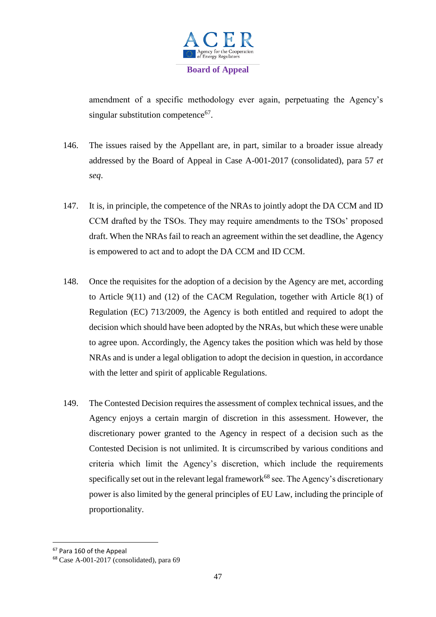

amendment of a specific methodology ever again, perpetuating the Agency's singular substitution competence<sup>67</sup>.

- 146. The issues raised by the Appellant are, in part, similar to a broader issue already addressed by the Board of Appeal in Case A-001-2017 (consolidated), para 57 *et seq*.
- 147. It is, in principle, the competence of the NRAs to jointly adopt the DA CCM and ID CCM drafted by the TSOs. They may require amendments to the TSOs' proposed draft. When the NRAs fail to reach an agreement within the set deadline, the Agency is empowered to act and to adopt the DA CCM and ID CCM.
- 148. Once the requisites for the adoption of a decision by the Agency are met, according to Article 9(11) and (12) of the CACM Regulation, together with Article 8(1) of Regulation (EC) 713/2009, the Agency is both entitled and required to adopt the decision which should have been adopted by the NRAs, but which these were unable to agree upon. Accordingly, the Agency takes the position which was held by those NRAs and is under a legal obligation to adopt the decision in question, in accordance with the letter and spirit of applicable Regulations.
- 149. The Contested Decision requires the assessment of complex technical issues, and the Agency enjoys a certain margin of discretion in this assessment. However, the discretionary power granted to the Agency in respect of a decision such as the Contested Decision is not unlimited. It is circumscribed by various conditions and criteria which limit the Agency's discretion, which include the requirements specifically set out in the relevant legal framework<sup>68</sup> see. The Agency's discretionary power is also limited by the general principles of EU Law, including the principle of proportionality.

<sup>67</sup> Para 160 of the Appeal

<sup>68</sup> Case A-001-2017 (consolidated), para 69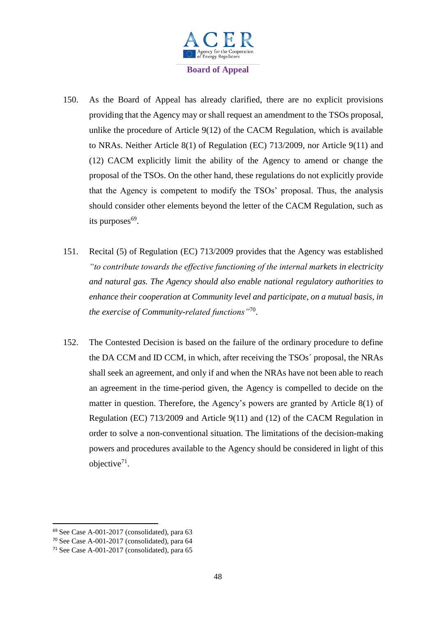

- 150. As the Board of Appeal has already clarified, there are no explicit provisions providing that the Agency may or shall request an amendment to the TSOs proposal, unlike the procedure of Article 9(12) of the CACM Regulation, which is available to NRAs. Neither Article 8(1) of Regulation (EC) 713/2009, nor Article 9(11) and (12) CACM explicitly limit the ability of the Agency to amend or change the proposal of the TSOs. On the other hand, these regulations do not explicitly provide that the Agency is competent to modify the TSOs' proposal. Thus, the analysis should consider other elements beyond the letter of the CACM Regulation, such as its purposes<sup>69</sup>.
- 151. Recital (5) of Regulation (EC) 713/2009 provides that the Agency was established *"to contribute towards the effective functioning of the internal markets in electricity and natural gas. The Agency should also enable national regulatory authorities to enhance their cooperation at Community level and participate, on a mutual basis, in the exercise of Community-related functions"*<sup>70</sup> .
- 152. The Contested Decision is based on the failure of the ordinary procedure to define the DA CCM and ID CCM, in which, after receiving the TSOs´ proposal, the NRAs shall seek an agreement, and only if and when the NRAs have not been able to reach an agreement in the time-period given, the Agency is compelled to decide on the matter in question. Therefore, the Agency's powers are granted by Article 8(1) of Regulation (EC) 713/2009 and Article 9(11) and (12) of the CACM Regulation in order to solve a non-conventional situation. The limitations of the decision-making powers and procedures available to the Agency should be considered in light of this objective $71$ .

<sup>69</sup> See Case A-001-2017 (consolidated), para 63

<sup>70</sup> See Case A-001-2017 (consolidated), para 64

<sup>71</sup> See Case A-001-2017 (consolidated), para 65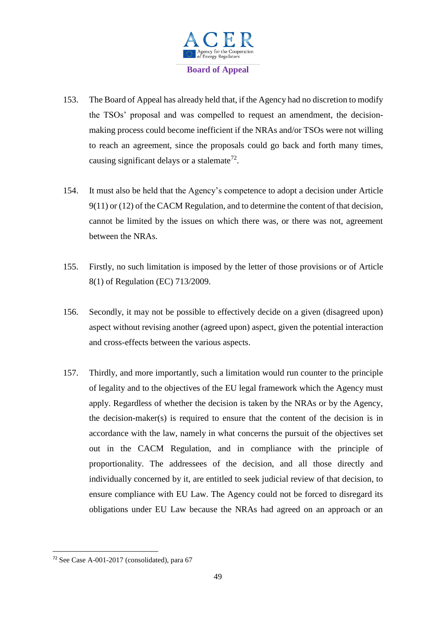

- 153. The Board of Appeal has already held that, if the Agency had no discretion to modify the TSOs' proposal and was compelled to request an amendment, the decisionmaking process could become inefficient if the NRAs and/or TSOs were not willing to reach an agreement, since the proposals could go back and forth many times, causing significant delays or a stalemate<sup>72</sup>.
- 154. It must also be held that the Agency's competence to adopt a decision under Article 9(11) or (12) of the CACM Regulation, and to determine the content of that decision, cannot be limited by the issues on which there was, or there was not, agreement between the NRAs.
- 155. Firstly, no such limitation is imposed by the letter of those provisions or of Article 8(1) of Regulation (EC) 713/2009.
- 156. Secondly, it may not be possible to effectively decide on a given (disagreed upon) aspect without revising another (agreed upon) aspect, given the potential interaction and cross-effects between the various aspects.
- 157. Thirdly, and more importantly, such a limitation would run counter to the principle of legality and to the objectives of the EU legal framework which the Agency must apply. Regardless of whether the decision is taken by the NRAs or by the Agency, the decision-maker(s) is required to ensure that the content of the decision is in accordance with the law, namely in what concerns the pursuit of the objectives set out in the CACM Regulation, and in compliance with the principle of proportionality. The addressees of the decision, and all those directly and individually concerned by it, are entitled to seek judicial review of that decision, to ensure compliance with EU Law. The Agency could not be forced to disregard its obligations under EU Law because the NRAs had agreed on an approach or an

<sup>72</sup> See Case A-001-2017 (consolidated), para 67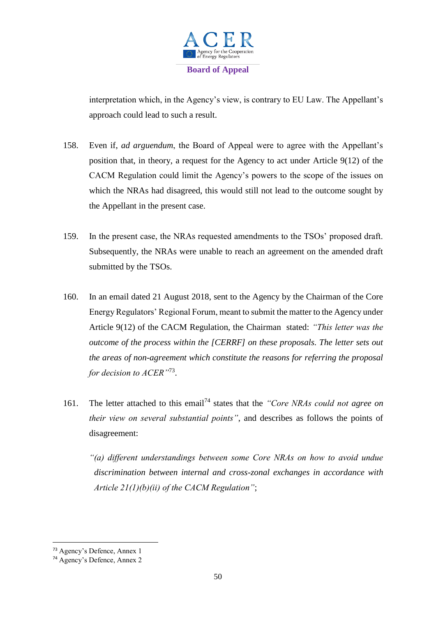

interpretation which, in the Agency's view, is contrary to EU Law. The Appellant's approach could lead to such a result.

- 158. Even if, *ad arguendum*, the Board of Appeal were to agree with the Appellant's position that, in theory, a request for the Agency to act under Article 9(12) of the CACM Regulation could limit the Agency's powers to the scope of the issues on which the NRAs had disagreed, this would still not lead to the outcome sought by the Appellant in the present case.
- 159. In the present case, the NRAs requested amendments to the TSOs' proposed draft. Subsequently, the NRAs were unable to reach an agreement on the amended draft submitted by the TSOs.
- 160. In an email dated 21 August 2018, sent to the Agency by the Chairman of the Core Energy Regulators' Regional Forum, meant to submit the matter to the Agency under Article 9(12) of the CACM Regulation, the Chairman stated: *"This letter was the outcome of the process within the [CERRF] on these proposals. The letter sets out the areas of non-agreement which constitute the reasons for referring the proposal for decision to ACER"*<sup>73</sup> .
- 161. The letter attached to this email<sup>74</sup> states that the *"Core NRAs could not agree on their view on several substantial points"*, and describes as follows the points of disagreement:

*"(a) different understandings between some Core NRAs on how to avoid undue discrimination between internal and cross-zonal exchanges in accordance with Article 21(1)(b)(ii) of the CACM Regulation"*;

<sup>73</sup> Agency's Defence, Annex 1

<sup>74</sup> Agency's Defence, Annex 2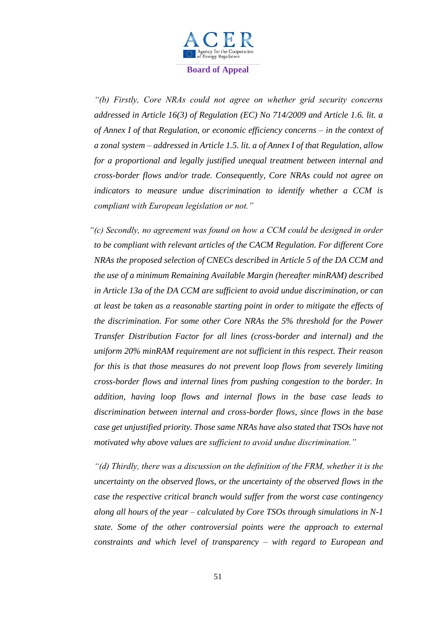

*"(b) Firstly, Core NRAs could not agree on whether grid security concerns addressed in Article 16(3) of Regulation (EC) No 714/2009 and Article 1.6. lit. a of Annex I of that Regulation, or economic efficiency concerns – in the context of a zonal system – addressed in Article 1.5. lit. a of Annex I of that Regulation, allow for a proportional and legally justified unequal treatment between internal and cross-border flows and/or trade. Consequently, Core NRAs could not agree on indicators to measure undue discrimination to identify whether a CCM is compliant with European legislation or not."*

*"(c) Secondly, no agreement was found on how a CCM could be designed in order to be compliant with relevant articles of the CACM Regulation. For different Core NRAs the proposed selection of CNECs described in Article 5 of the DA CCM and the use of a minimum Remaining Available Margin (hereafter minRAM) described in Article 13a of the DA CCM are sufficient to avoid undue discrimination, or can at least be taken as a reasonable starting point in order to mitigate the effects of the discrimination. For some other Core NRAs the 5% threshold for the Power Transfer Distribution Factor for all lines (cross-border and internal) and the uniform 20% minRAM requirement are not sufficient in this respect. Their reason for this is that those measures do not prevent loop flows from severely limiting cross-border flows and internal lines from pushing congestion to the border. In addition, having loop flows and internal flows in the base case leads to discrimination between internal and cross-border flows, since flows in the base case get unjustified priority. Those same NRAs have also stated that TSOs have not motivated why above values are sufficient to avoid undue discrimination."*

*"(d) Thirdly, there was a discussion on the definition of the FRM, whether it is the uncertainty on the observed flows, or the uncertainty of the observed flows in the case the respective critical branch would suffer from the worst case contingency along all hours of the year – calculated by Core TSOs through simulations in N-1 state. Some of the other controversial points were the approach to external constraints and which level of transparency – with regard to European and*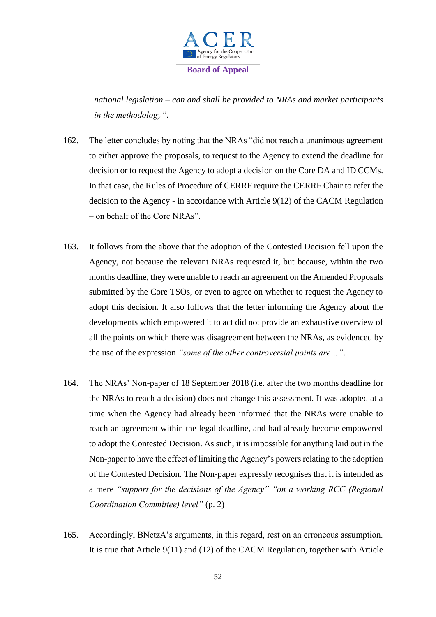

*national legislation – can and shall be provided to NRAs and market participants in the methodology"*.

- 162. The letter concludes by noting that the NRAs "did not reach a unanimous agreement to either approve the proposals, to request to the Agency to extend the deadline for decision or to request the Agency to adopt a decision on the Core DA and ID CCMs. In that case, the Rules of Procedure of CERRF require the CERRF Chair to refer the decision to the Agency - in accordance with Article 9(12) of the CACM Regulation – on behalf of the Core NRAs".
- 163. It follows from the above that the adoption of the Contested Decision fell upon the Agency, not because the relevant NRAs requested it, but because, within the two months deadline, they were unable to reach an agreement on the Amended Proposals submitted by the Core TSOs, or even to agree on whether to request the Agency to adopt this decision. It also follows that the letter informing the Agency about the developments which empowered it to act did not provide an exhaustive overview of all the points on which there was disagreement between the NRAs, as evidenced by the use of the expression *"some of the other controversial points are…"*.
- 164. The NRAs' Non-paper of 18 September 2018 (i.e. after the two months deadline for the NRAs to reach a decision) does not change this assessment. It was adopted at a time when the Agency had already been informed that the NRAs were unable to reach an agreement within the legal deadline, and had already become empowered to adopt the Contested Decision. As such, it is impossible for anything laid out in the Non-paper to have the effect of limiting the Agency's powers relating to the adoption of the Contested Decision. The Non-paper expressly recognises that it is intended as a mere *"support for the decisions of the Agency" "on a working RCC (Regional Coordination Committee) level"* (p. 2)
- 165. Accordingly, BNetzA's arguments, in this regard, rest on an erroneous assumption. It is true that Article 9(11) and (12) of the CACM Regulation, together with Article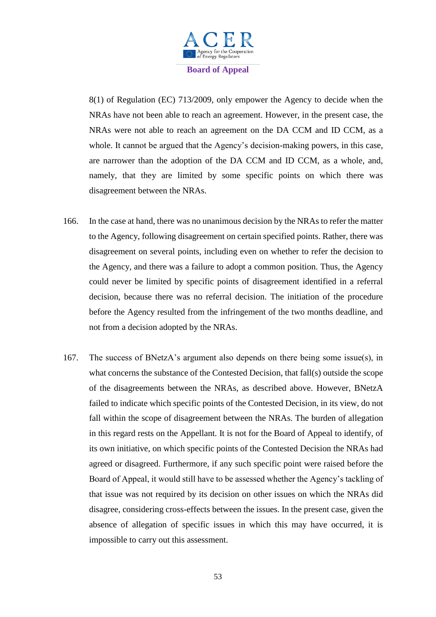

8(1) of Regulation (EC) 713/2009, only empower the Agency to decide when the NRAs have not been able to reach an agreement. However, in the present case, the NRAs were not able to reach an agreement on the DA CCM and ID CCM, as a whole. It cannot be argued that the Agency's decision-making powers, in this case, are narrower than the adoption of the DA CCM and ID CCM, as a whole, and, namely, that they are limited by some specific points on which there was disagreement between the NRAs.

- 166. In the case at hand, there was no unanimous decision by the NRAs to refer the matter to the Agency, following disagreement on certain specified points. Rather, there was disagreement on several points, including even on whether to refer the decision to the Agency, and there was a failure to adopt a common position. Thus, the Agency could never be limited by specific points of disagreement identified in a referral decision, because there was no referral decision. The initiation of the procedure before the Agency resulted from the infringement of the two months deadline, and not from a decision adopted by the NRAs.
- 167. The success of BNetzA's argument also depends on there being some issue(s), in what concerns the substance of the Contested Decision, that fall(s) outside the scope of the disagreements between the NRAs, as described above. However, BNetzA failed to indicate which specific points of the Contested Decision, in its view, do not fall within the scope of disagreement between the NRAs. The burden of allegation in this regard rests on the Appellant. It is not for the Board of Appeal to identify, of its own initiative, on which specific points of the Contested Decision the NRAs had agreed or disagreed. Furthermore, if any such specific point were raised before the Board of Appeal, it would still have to be assessed whether the Agency's tackling of that issue was not required by its decision on other issues on which the NRAs did disagree, considering cross-effects between the issues. In the present case, given the absence of allegation of specific issues in which this may have occurred, it is impossible to carry out this assessment.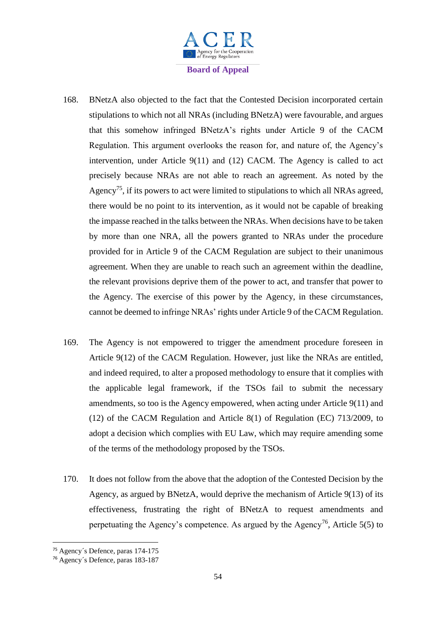

- 168. BNetzA also objected to the fact that the Contested Decision incorporated certain stipulations to which not all NRAs (including BNetzA) were favourable, and argues that this somehow infringed BNetzA's rights under Article 9 of the CACM Regulation. This argument overlooks the reason for, and nature of, the Agency's intervention, under Article 9(11) and (12) CACM. The Agency is called to act precisely because NRAs are not able to reach an agreement. As noted by the Agency<sup>75</sup>, if its powers to act were limited to stipulations to which all NRAs agreed, there would be no point to its intervention, as it would not be capable of breaking the impasse reached in the talks between the NRAs. When decisions have to be taken by more than one NRA, all the powers granted to NRAs under the procedure provided for in Article 9 of the CACM Regulation are subject to their unanimous agreement. When they are unable to reach such an agreement within the deadline, the relevant provisions deprive them of the power to act, and transfer that power to the Agency. The exercise of this power by the Agency, in these circumstances, cannot be deemed to infringe NRAs' rights under Article 9 of the CACM Regulation.
- 169. The Agency is not empowered to trigger the amendment procedure foreseen in Article 9(12) of the CACM Regulation. However, just like the NRAs are entitled, and indeed required, to alter a proposed methodology to ensure that it complies with the applicable legal framework, if the TSOs fail to submit the necessary amendments, so too is the Agency empowered, when acting under Article 9(11) and (12) of the CACM Regulation and Article 8(1) of Regulation (EC) 713/2009, to adopt a decision which complies with EU Law, which may require amending some of the terms of the methodology proposed by the TSOs.
- 170. It does not follow from the above that the adoption of the Contested Decision by the Agency, as argued by BNetzA, would deprive the mechanism of Article 9(13) of its effectiveness, frustrating the right of BNetzA to request amendments and perpetuating the Agency's competence. As argued by the Agency<sup>76</sup>, Article 5(5) to

<sup>75</sup> Agency´s Defence, paras 174-175

<sup>76</sup> Agency´s Defence, paras 183-187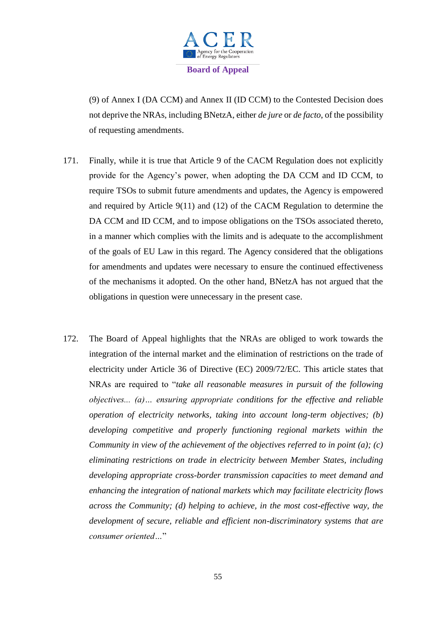

(9) of Annex I (DA CCM) and Annex II (ID CCM) to the Contested Decision does not deprive the NRAs, including BNetzA, either *de jure* or *de facto*, of the possibility of requesting amendments.

- 171. Finally, while it is true that Article 9 of the CACM Regulation does not explicitly provide for the Agency's power, when adopting the DA CCM and ID CCM, to require TSOs to submit future amendments and updates, the Agency is empowered and required by Article 9(11) and (12) of the CACM Regulation to determine the DA CCM and ID CCM, and to impose obligations on the TSOs associated thereto, in a manner which complies with the limits and is adequate to the accomplishment of the goals of EU Law in this regard. The Agency considered that the obligations for amendments and updates were necessary to ensure the continued effectiveness of the mechanisms it adopted. On the other hand, BNetzA has not argued that the obligations in question were unnecessary in the present case.
- 172. The Board of Appeal highlights that the NRAs are obliged to work towards the integration of the internal market and the elimination of restrictions on the trade of electricity under Article 36 of Directive (EC) 2009/72/EC. This article states that NRAs are required to "*take all reasonable measures in pursuit of the following objectives... (a)… ensuring appropriate conditions for the effective and reliable operation of electricity networks, taking into account long-term objectives; (b) developing competitive and properly functioning regional markets within the Community in view of the achievement of the objectives referred to in point (a); (c) eliminating restrictions on trade in electricity between Member States, including developing appropriate cross-border transmission capacities to meet demand and enhancing the integration of national markets which may facilitate electricity flows across the Community; (d) helping to achieve, in the most cost-effective way, the development of secure, reliable and efficient non-discriminatory systems that are consumer oriented…*"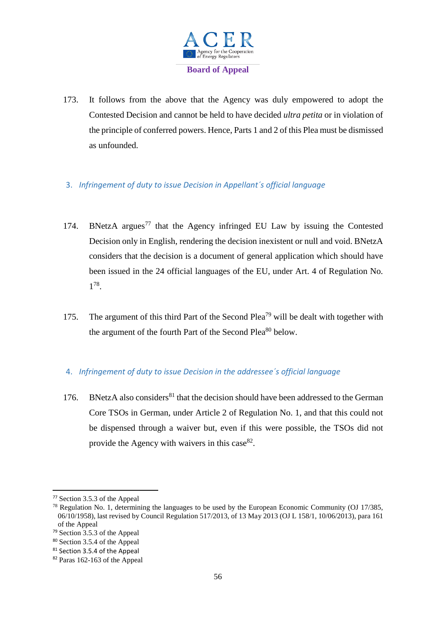

- 173. It follows from the above that the Agency was duly empowered to adopt the Contested Decision and cannot be held to have decided *ultra petita* or in violation of the principle of conferred powers. Hence, Parts 1 and 2 of this Plea must be dismissed as unfounded.
- 3. *Infringement of duty to issue Decision in Appellant´s official language*
- 174. BNetzA argues<sup>77</sup> that the Agency infringed EU Law by issuing the Contested Decision only in English, rendering the decision inexistent or null and void. BNetzA considers that the decision is a document of general application which should have been issued in the 24 official languages of the EU, under Art. 4 of Regulation No. 1 78 .
- 175. The argument of this third Part of the Second Plea<sup>79</sup> will be dealt with together with the argument of the fourth Part of the Second Plea<sup>80</sup> below.

# 4. *Infringement of duty to issue Decision in the addressee´s official language*

176. BNetzA also considers<sup>81</sup> that the decision should have been addressed to the German Core TSOs in German, under Article 2 of Regulation No. 1, and that this could not be dispensed through a waiver but, even if this were possible, the TSOs did not provide the Agency with waivers in this case  $82$ .

<sup>77</sup> Section 3.5.3 of the Appeal

<sup>&</sup>lt;sup>78</sup> Regulation No. 1, determining the languages to be used by the European Economic Community (OJ 17/385, 06/10/1958), last revised by Council Regulation 517/2013, of 13 May 2013 (OJ L 158/1, 10/06/2013), para 161 of the Appeal

<sup>79</sup> Section 3.5.3 of the Appeal

<sup>80</sup> Section 3.5.4 of the Appeal

<sup>&</sup>lt;sup>81</sup> Section 3.5.4 of the Appeal

<sup>82</sup> Paras 162-163 of the Appeal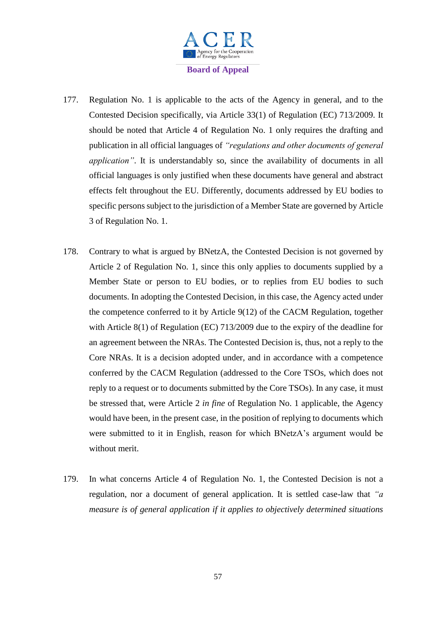

- 177. Regulation No. 1 is applicable to the acts of the Agency in general, and to the Contested Decision specifically, via Article 33(1) of Regulation (EC) 713/2009. It should be noted that Article 4 of Regulation No. 1 only requires the drafting and publication in all official languages of *"regulations and other documents of general application"*. It is understandably so, since the availability of documents in all official languages is only justified when these documents have general and abstract effects felt throughout the EU. Differently, documents addressed by EU bodies to specific persons subject to the jurisdiction of a Member State are governed by Article 3 of Regulation No. 1.
- 178. Contrary to what is argued by BNetzA, the Contested Decision is not governed by Article 2 of Regulation No. 1, since this only applies to documents supplied by a Member State or person to EU bodies, or to replies from EU bodies to such documents. In adopting the Contested Decision, in this case, the Agency acted under the competence conferred to it by Article 9(12) of the CACM Regulation, together with Article 8(1) of Regulation (EC) 713/2009 due to the expiry of the deadline for an agreement between the NRAs. The Contested Decision is, thus, not a reply to the Core NRAs. It is a decision adopted under, and in accordance with a competence conferred by the CACM Regulation (addressed to the Core TSOs, which does not reply to a request or to documents submitted by the Core TSOs). In any case, it must be stressed that, were Article 2 *in fine* of Regulation No. 1 applicable, the Agency would have been, in the present case, in the position of replying to documents which were submitted to it in English, reason for which BNetzA's argument would be without merit.
- 179. In what concerns Article 4 of Regulation No. 1, the Contested Decision is not a regulation, nor a document of general application. It is settled case-law that *"a measure is of general application if it applies to objectively determined situations*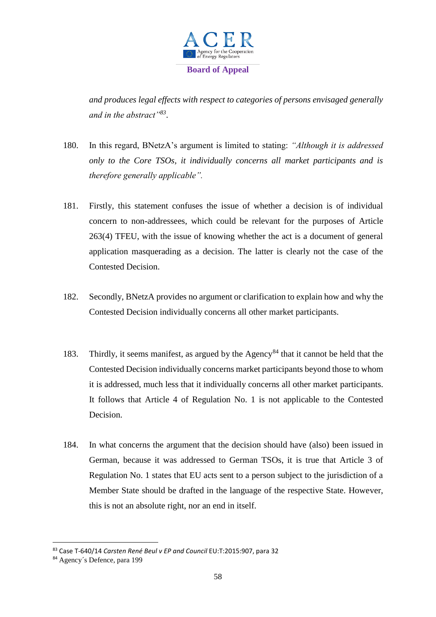

*and produces legal effects with respect to categories of persons envisaged generally and in the abstract"<sup>83</sup>* .

- 180. In this regard, BNetzA's argument is limited to stating: *"Although it is addressed only to the Core TSOs, it individually concerns all market participants and is therefore generally applicable".*
- 181. Firstly, this statement confuses the issue of whether a decision is of individual concern to non-addressees, which could be relevant for the purposes of Article 263(4) TFEU, with the issue of knowing whether the act is a document of general application masquerading as a decision. The latter is clearly not the case of the Contested Decision.
- 182. Secondly, BNetzA provides no argument or clarification to explain how and why the Contested Decision individually concerns all other market participants.
- 183. Thirdly, it seems manifest, as argued by the Agency<sup>84</sup> that it cannot be held that the Contested Decision individually concerns market participants beyond those to whom it is addressed, much less that it individually concerns all other market participants. It follows that Article 4 of Regulation No. 1 is not applicable to the Contested Decision.
- 184. In what concerns the argument that the decision should have (also) been issued in German, because it was addressed to German TSOs, it is true that Article 3 of Regulation No. 1 states that EU acts sent to a person subject to the jurisdiction of a Member State should be drafted in the language of the respective State. However, this is not an absolute right, nor an end in itself.

<sup>83</sup> Case T-640/14 *Carsten René Beul v EP and Council* EU:T:2015:907, para 32

<sup>84</sup> Agency´s Defence, para 199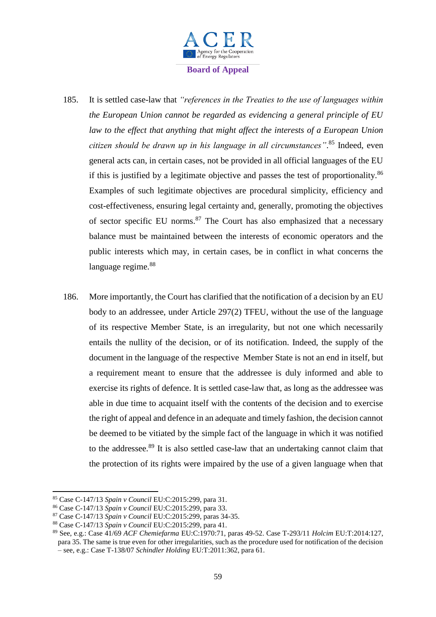

- 185. It is settled case-law that *"references in the Treaties to the use of languages within the European Union cannot be regarded as evidencing a general principle of EU law to the effect that anything that might affect the interests of a European Union citizen should be drawn up in his language in all circumstances"*. <sup>85</sup> Indeed, even general acts can, in certain cases, not be provided in all official languages of the EU if this is justified by a legitimate objective and passes the test of proportionality. $86$ Examples of such legitimate objectives are procedural simplicity, efficiency and cost-effectiveness, ensuring legal certainty and, generally, promoting the objectives of sector specific EU norms.<sup>87</sup> The Court has also emphasized that a necessary balance must be maintained between the interests of economic operators and the public interests which may, in certain cases, be in conflict in what concerns the language regime.<sup>88</sup>
- 186. More importantly, the Court has clarified that the notification of a decision by an EU body to an addressee, under Article 297(2) TFEU, without the use of the language of its respective Member State, is an irregularity, but not one which necessarily entails the nullity of the decision, or of its notification. Indeed, the supply of the document in the language of the respective Member State is not an end in itself, but a requirement meant to ensure that the addressee is duly informed and able to exercise its rights of defence. It is settled case-law that, as long as the addressee was able in due time to acquaint itself with the contents of the decision and to exercise the right of appeal and defence in an adequate and timely fashion, the decision cannot be deemed to be vitiated by the simple fact of the language in which it was notified to the addressee.<sup>89</sup> It is also settled case-law that an undertaking cannot claim that the protection of its rights were impaired by the use of a given language when that

<sup>85</sup> Case C-147/13 *Spain v Council* EU:C:2015:299, para 31.

<sup>86</sup> Case C-147/13 *Spain v Council* EU:C:2015:299, para 33.

<sup>87</sup> Case C-147/13 *Spain v Council* EU:C:2015:299, paras 34-35.

<sup>88</sup> Case C-147/13 *Spain v Council* EU:C:2015:299, para 41.

<sup>89</sup> See, e.g.: Case 41/69 *ACF Chemiefarma* EU:C:1970:71, paras 49-52. Case T-293/11 *Holcim* EU:T:2014:127, para 35. The same is true even for other irregularities, such as the procedure used for notification of the decision – see, e.g.: Case T-138/07 *Schindler Holding* EU:T:2011:362, para 61.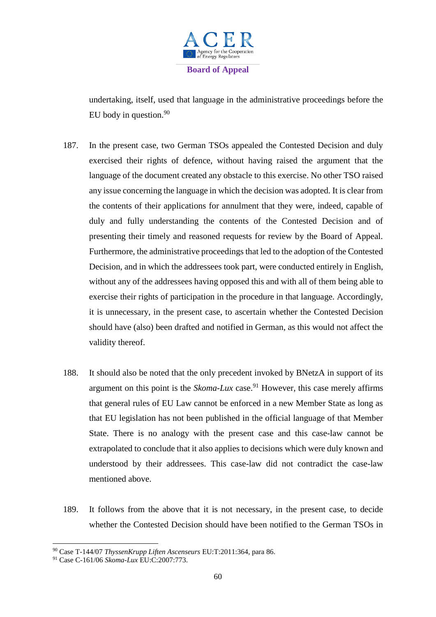

undertaking, itself, used that language in the administrative proceedings before the EU body in question.<sup>90</sup>

- 187. In the present case, two German TSOs appealed the Contested Decision and duly exercised their rights of defence, without having raised the argument that the language of the document created any obstacle to this exercise. No other TSO raised any issue concerning the language in which the decision was adopted. It is clear from the contents of their applications for annulment that they were, indeed, capable of duly and fully understanding the contents of the Contested Decision and of presenting their timely and reasoned requests for review by the Board of Appeal. Furthermore, the administrative proceedings that led to the adoption of the Contested Decision, and in which the addressees took part, were conducted entirely in English, without any of the addressees having opposed this and with all of them being able to exercise their rights of participation in the procedure in that language. Accordingly, it is unnecessary, in the present case, to ascertain whether the Contested Decision should have (also) been drafted and notified in German, as this would not affect the validity thereof.
- 188. It should also be noted that the only precedent invoked by BNetzA in support of its argument on this point is the *Skoma-Lux* case.<sup>91</sup> However, this case merely affirms that general rules of EU Law cannot be enforced in a new Member State as long as that EU legislation has not been published in the official language of that Member State. There is no analogy with the present case and this case-law cannot be extrapolated to conclude that it also applies to decisions which were duly known and understood by their addressees. This case-law did not contradict the case-law mentioned above.
- 189. It follows from the above that it is not necessary, in the present case, to decide whether the Contested Decision should have been notified to the German TSOs in

<sup>90</sup> Case T-144/07 *ThyssenKrupp Liften Ascenseurs* EU:T:2011:364, para 86.

<sup>91</sup> Case C-161/06 *Skoma-Lux* EU:C:2007:773.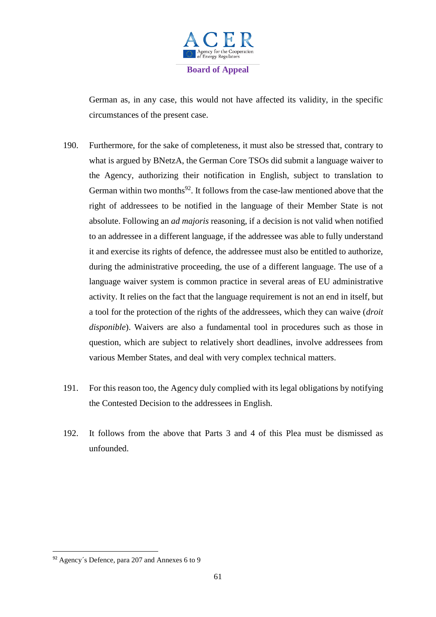

German as, in any case, this would not have affected its validity, in the specific circumstances of the present case.

- 190. Furthermore, for the sake of completeness, it must also be stressed that, contrary to what is argued by BNetzA, the German Core TSOs did submit a language waiver to the Agency, authorizing their notification in English, subject to translation to German within two months<sup>92</sup>. It follows from the case-law mentioned above that the right of addressees to be notified in the language of their Member State is not absolute. Following an *ad majoris* reasoning, if a decision is not valid when notified to an addressee in a different language, if the addressee was able to fully understand it and exercise its rights of defence, the addressee must also be entitled to authorize, during the administrative proceeding, the use of a different language. The use of a language waiver system is common practice in several areas of EU administrative activity. It relies on the fact that the language requirement is not an end in itself, but a tool for the protection of the rights of the addressees, which they can waive (*droit disponible*). Waivers are also a fundamental tool in procedures such as those in question, which are subject to relatively short deadlines, involve addressees from various Member States, and deal with very complex technical matters.
- 191. For this reason too, the Agency duly complied with its legal obligations by notifying the Contested Decision to the addressees in English.
- 192. It follows from the above that Parts 3 and 4 of this Plea must be dismissed as unfounded.

<sup>92</sup> Agency´s Defence, para 207 and Annexes 6 to 9